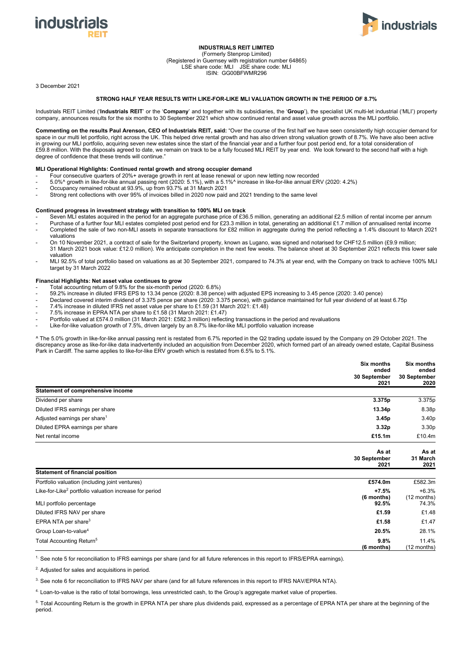



## **INDUSTRIALS REIT LIMITED**

(Formerly Stenprop Limited) (Registered in Guernsey with registration number 64865) LSE share code: MLI JSE share code: MLI ISIN: GG00BFWMR296

3 December 2021

### **STRONG HALF YEAR RESULTS WITH LIKE-FOR-LIKE MLI VALUATION GROWTH IN THE PERIOD OF 8.7%**

Industrials REIT Limited ('**Industrials REIT**' or the '**Company**' and together with its subsidiaries, the '**Group**'), the specialist UK multi-let industrial ('MLI') property company, announces results for the six months to 30 September 2021 which show continued rental and asset value growth across the MLI portfolio.

**Commenting on the results Paul Arenson, CEO of Industrials REIT, said:** "Over the course of the first half we have seen consistently high occupier demand for space in our multi let portfolio, right across the UK. This helped drive rental growth and has also driven strong valuation growth of 8.7%. We have also been active in growing our MLI portfolio, acquiring seven new estates since the start of the financial year and a further four post period end, for a total consideration of £59.8 million. With the disposals agreed to date, we remain on track to be a fully focused MLI REIT by year end. We look forward to the second half with a high degree of confidence that these trends will continue."

## **MLI Operational Highlights: Continued rental growth and strong occupier demand**

- Four consecutive quarters of 20%+ average growth in rent at lease renewal or upon new letting now recorded
- 5.0%^ growth in like-for-like annual passing rent (2020: 5.1%), with a 5.1%^ increase in like-for-like annual ERV (2020: 4.2%)
- Occupancy remained robust at 93.9%, up from 93.7% at 31 March 2021
- Strong rent collections with over 95% of invoices billed in 2020 now paid and 2021 trending to the same level

#### **Continued progress in investment strategy with transition to 100% MLI on track**

- Seven MLI estates acquired in the period for an aggregate purchase price of £36.5 million, generating an additional £2.5 million of rental income per annum
- Purchase of a further four MLI estates completed post period end for £23.3 million in total, generating an additional £1.7 million of annualised rental income
- Completed the sale of two non-MLI assets in separate transactions for £82 million in aggregate during the period reflecting a 1.4% discount to March 2021 valuations
- On 10 November 2021, a contract of sale for the Switzerland property, known as Lugano, was signed and notarised for CHF12.5 million (£9.9 million; 31 March 2021 book value: £12.0 million). We anticipate completion in the next few weeks. The balance sheet at 30 September 2021 reflects this lower sale valuation
- MLI 92.5% of total portfolio based on valuations as at 30 September 2021, compared to 74.3% at year end, with the Company on track to achieve 100% MLI target by 31 March 2022

### **Financial Highlights: Net asset value continues to grow**

- Total accounting return of 9.8% for the six-month period (2020: 6.8%)
- 59.2% increase in diluted IFRS EPS to 13.34 pence (2020: 8.38 pence) with adjusted EPS increasing to 3.45 pence (2020: 3.40 pence)
- Declared covered interim dividend of 3.375 pence per share (2020: 3.375 pence), with guidance maintained for full year dividend of at least 6.75p
- 7.4% increase in diluted IFRS net asset value per share to £1.59 (31 March 2021: £1.48)
- 7.5% increase in EPRA NTA per share to £1.58 (31 March 2021: £1.47)
- Portfolio valued at £574.0 million (31 March 2021: £582.3 million) reflecting transactions in the period and revaluations
- Like-for-like valuation growth of 7.5%, driven largely by an 8.7% like-for-like MLI portfolio valuation increase

^ The 5.0% growth in like-for-like annual passing rent is restated from 6.7% reported in the Q2 trading update issued by the Company on 29 October 2021. The discrepancy arose as like-for-like data inadvertently included an acquisition from December 2020, which formed part of an already owned estate, Capital Business Park in Cardiff. The same applies to like-for-like ERV growth which is restated from 6.5% to 5.1%

|                                                | <b>Six months</b><br>ended    | Six months<br>ended       |
|------------------------------------------------|-------------------------------|---------------------------|
|                                                | 30 September<br>2021          | 30 September<br>2020      |
| Statement of comprehensive income              |                               |                           |
| Dividend per share                             | 3.375p                        | 3.375p                    |
| Diluted IFRS earnings per share                | 13.34p                        | 8.38p                     |
| Adjusted earnings per share <sup>1</sup>       | 3.45p                         | 3.40p                     |
| Diluted EPRA earnings per share                | 3.32p                         | 3.30p                     |
| Net rental income                              | £15.1m                        | £10.4m                    |
|                                                | As at<br>30 September<br>2021 | As at<br>31 March<br>2021 |
| <b>Statement of financial position</b>         |                               |                           |
| Portfolio valuation (including joint ventures) | £574.0m                       | £582.3m                   |

| i ortiono valadtion (inoldanig joint vorital oo)                   | -------    | -------       |
|--------------------------------------------------------------------|------------|---------------|
| Like-for-Like <sup>2</sup> portfolio valuation increase for period | $+7.5%$    | $+6.3%$       |
|                                                                    | (6 months) | $(12$ months) |
| MLI portfolio percentage                                           | 92.5%      | 74.3%         |
| Diluted IFRS NAV per share                                         | £1.59      | £1.48         |
| EPRA NTA per share <sup>3</sup>                                    | £1.58      | £1.47         |
| Group Loan-to-value <sup>4</sup>                                   | 20.5%      | 28.1%         |
| Total Accounting Return <sup>5</sup>                               | 9.8%       | 11.4%         |
|                                                                    | (6 months) | $(12$ months) |

1. See note 5 for reconciliation to IFRS earnings per share (and for all future references in this report to IFRS/EPRA earnings).

2. Adjusted for sales and acquisitions in period.

3. See note 6 for reconciliation to IFRS NAV per share (and for all future references in this report to IFRS NAV/EPRA NTA).

4. Loan-to-value is the ratio of total borrowings, less unrestricted cash, to the Group's aggregate market value of properties.

5. Total Accounting Return is the growth in EPRA NTA per share plus dividends paid, expressed as a percentage of EPRA NTA per share at the beginning of the period.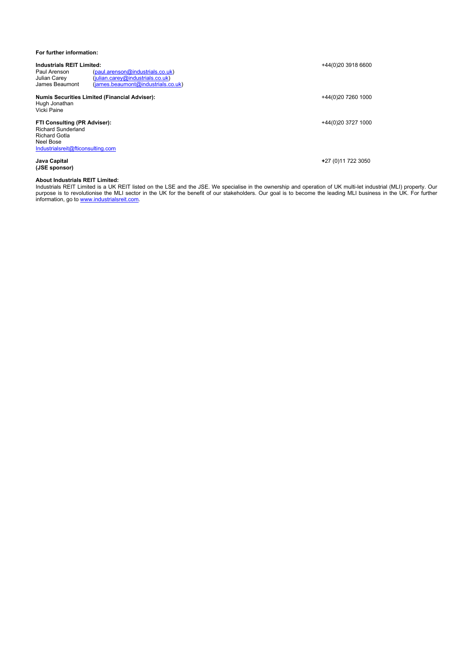## **For further information:**

| <b>Industrials REIT Limited:</b><br>(paul.arenson@industrials.co.uk)<br>Paul Arenson<br><b>Julian Carey</b><br>(iulian.carev@industrials.co.uk)<br>James Beaumont<br>(james.beamont@industrials.co.uk) | +44(0)20 3918 6600  |
|--------------------------------------------------------------------------------------------------------------------------------------------------------------------------------------------------------|---------------------|
| <b>Numis Securities Limited (Financial Adviser):</b><br>Hugh Jonathan<br>Vicki Paine                                                                                                                   | +44(0)20 7260 1000  |
| FTI Consulting (PR Adviser):<br><b>Richard Sunderland</b><br><b>Richard Gotla</b><br>Neel Bose<br>Industrialsreit@fticonsulting.com                                                                    | +44(0)20 3727 1000  |
| Java Capital<br>(JSE sponsor)                                                                                                                                                                          | +27 (0) 11 722 3050 |

### **About Industrials REIT Limited:**

Industrials REIT Limited is a UK REIT listed on the LSE and the JSE. We specialise in the ownership and operation of UK multi-let industrial (MLI) property. Our purpose is to revolutionise the MLI sector in the UK for the benefit of our stakeholders. Our goal is to become the leading MLI business in the UK. For further information, go to www.industrialsreit.com.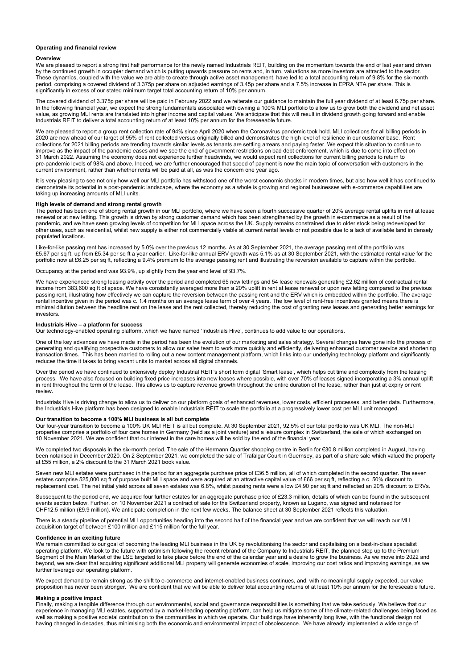#### **Operating and financial review**

#### **Overview**

We are pleased to report a strong first half performance for the newly named Industrials REIT, building on the momentum towards the end of last year and driven by the continued growth in occupier demand which is putting upwards pressure on rents and, in turn, valuations as more investors are attracted to the sector. These dynamics, coupled with the value we are able to create through active asset management, have led to a total accounting return of 9.8% for the six-month period, comprising a covered dividend of 3.375p per share on adjusted earnings of 3.45p per share and a 7.5% increase in EPRA NTA per share. This is significantly in excess of our stated minimum target total accounting return of 10% per annum.

The covered dividend of 3.375p per share will be paid in February 2022 and we reiterate our guidance to maintain the full year dividend of at least 6.75p per share. In the following financial year, we expect the strong fundamentals associated with owning a 100% MLI portfolio to allow us to grow both the dividend and net asset value, as growing MLI rents are translated into higher income and capital values. We anticipate that this will result in dividend growth going forward and enable Industrials REIT to deliver a total accounting return of at least 10% per annum for the foreseeable future.

We are pleased to report a group rent collection rate of 94% since April 2020 when the Coronavirus pandemic took hold. MLI collections for all billing periods in 2020 are now ahead of our target of 95% of rent collected versus originally billed and demonstrates the high level of resilience in our customer base. Rent collections for 2021 billing periods are trending towards similar levels as tenants are settling arrears and paying faster. We expect this situation to continue to improve as the impact of the pandemic eases and we see the end of government restrictions on bad debt enforcement, which is due to come into effect on 31 March 2022. Assuming the economy does not experience further headwinds, we would expect rent collections for current billing periods to return to pre-pandemic levels of 98% and above. Indeed, we are further encouraged that speed of payment is now the main topic of conversation with customers in the current environment, rather than whether rents will be paid at all, as was the concern one year ago.

It is very pleasing to see not only how well our MLI portfolio has withstood one of the worst economic shocks in modern times, but also how well it has continued to demonstrate its potential in a post-pandemic landscape, where the economy as a whole is growing and regional businesses with e-commerce capabilities are taking up increasing amounts of MLI units.

### **High levels of demand and strong rental growth**

The period has been one of strong rental growth in our MLI portfolio, where we have seen a fourth successive quarter of 20% average rental uplifts in rent at lease renewal or at new letting. This growth is driven by strong customer demand which has been strengthened by the growth in e-commerce as a result of the pandemic, and we have seen growing levels of competition for MLI space across the UK. Supply remains constrained due to older stock being redeveloped for other uses, such as residential, whilst new supply is either not commercially viable at current rental levels or not possible due to a lack of available land in densely populated locations.

Like-for-like passing rent has increased by 5.0% over the previous 12 months. As at 30 September 2021, the average passing rent of the portfolio was £5.67 per sq ft, up from £5.34 per sq ft a year earlier. Like-for-like annual ERV growth was 5.1% as at 30 September 2021, with the estimated rental value for the portfolio now at £6.25 per sq ft, reflecting a 9.4% premium to the average passing rent and illustrating the reversion available to capture within the portfolio.

Occupancy at the period end was 93.9%, up slightly from the year end level of 93.7%.

We have experienced strong leasing activity over the period and completed 65 new lettings and 54 lease renewals generating £2.62 million of contractual rental income from 383,600 sq ft of space. We have consistently averaged more than a 20% uplift in rent at lease renewal or upon new letting compared to the previous passing rent, illustrating how effectively we can capture the reversion between the passing rent and the ERV which is embedded within the portfolio. The average rental incentive given in the period was c. 1.4 months on an average lease term of over 4 years. The low level of rent-free incentives granted means there is minimal dilution between the headline rent on the lease and the rent collected, thereby reducing the cost of granting new leases and generating better earnings for investors.

## **Industrials Hive – a platform for success**

Our technology-enabled operating platform, which we have named 'Industrials Hive', continues to add value to our operations.

One of the key advances we have made in the period has been the evolution of our marketing and sales strategy. Several changes have gone into the process of generating and qualifying prospective customers to allow our sales team to work more quickly and efficiently, delivering enhanced customer service and shortening transaction times. This has been married to rolling out a new content management platform, which links into our underlying technology platform and significantly reduces the time it takes to bring vacant units to market across all digital channels.

Over the period we have continued to extensively deploy Industrial REIT's short form digital 'Smart lease', which helps cut time and complexity from the leasing process. We have also focused on building fixed price increases into new leases where possible, with over 70% of leases signed incorporating a 3% annual uplift in rent throughout the term of the lease. This allows us to capture revenue growth throughout the entire duration of the lease, rather than just at expiry or rent review.

Industrials Hive is driving change to allow us to deliver on our platform goals of enhanced revenues, lower costs, efficient processes, and better data. Furthermore, the Industrials Hive platform has been designed to enable Industrials REIT to scale the portfolio at a progressively lower cost per MLI unit managed.

#### **Our transition to become a 100% MLI business is all but complete**

Our four-year transition to become a 100% UK MLI REIT is all but complete. At 30 September 2021, 92.5% of our total portfolio was UK MLI. The non-MLI properties comprise a portfolio of four care homes in Germany (held as a joint venture) and a leisure complex in Switzerland, the sale of which exchanged on 10 November 2021. We are confident that our interest in the care homes will be sold by the end of the financial year.

We completed two disposals in the six-month period. The sale of the Hermann Quartier shopping centre in Berlin for €30.8 million completed in August, having been notarised in December 2020. On 2 September 2021, we completed the sale of Trafalgar Court in Guernsey, as part of a share sale which valued the property at £55 million, a 2% discount to the 31 March 2021 book value.

Seven new MLI estates were purchased in the period for an aggregate purchase price of £36.5 million, all of which completed in the second quarter. The seven estates comprise 525,000 sq ft of purpose built MLI space and were acquired at an attractive capital value of £66 per sq ft, reflecting a c. 50% discount to replacement cost. The net initial yield across all seven estates was 6.8%, whilst passing rents were a low £4.90 per sq ft and reflected an 20% discount to ERVs.

Subsequent to the period end, we acquired four further estates for an aggregate purchase price of £23.3 million, details of which can be found in the subsequent events section below. Further, on 10 November 2021 a contract of sale for the Switzerland property, known as Lugano, was signed and notarised for CHF12.5 million (£9.9 million). We anticipate completion in the next few weeks. The balance sheet at 30 September 2021 reflects this valuation.

There is a steady pipeline of potential MLI opportunities heading into the second half of the financial year and we are confident that we will reach our MLI acquisition target of between £100 million and £115 million for the full year.

#### **Confidence in an exciting future**

We remain committed to our goal of becoming the leading MLI business in the UK by revolutionising the sector and capitalising on a best-in-class specialist operating platform. We look to the future with optimism following the recent rebrand of the Company to Industrials REIT, the planned step up to the Premium Segment of the Main Market of the LSE targeted to take place before the end of the calendar year and a desire to grow the business. As we move into 2022 and beyond, we are clear that acquiring significant additional MLI property will generate economies of scale, improving our cost ratios and improving earnings, as we further leverage our operating platform.

We expect demand to remain strong as the shift to e-commerce and internet-enabled business continues, and, with no meaningful supply expected, our value proposition has never been stronger. We are confident that we will be able to deliver total accounting returns of at least 10% per annum for the foreseeable future.

### **Making a positive impact**

Finally, making a tangible difference through our environmental, social and governance responsibilities is something that we take seriously. We believe that our experience in managing MLI estates, supported by a market-leading operating platform, can help us mitigate some of the climate-related challenges being faced as well as making a positive societal contribution to the communities in which we operate. Our buildings have inherently long lives, with the functional design not having changed in decades, thus minimising both the economic and environmental impact of obsolescence. We have already implemented a wide range of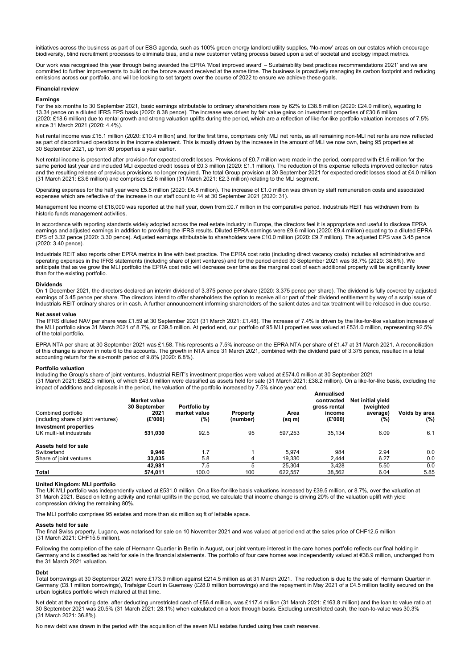initiatives across the business as part of our ESG agenda, such as 100% green energy landlord utility supplies, 'No-mow' areas on our estates which encourage biodiversity, blind recruitment processes to eliminate bias, and a new customer vetting process based upon a set of societal and ecology impact metrics.

Our work was recognised this year through being awarded the EPRA 'Most improved award' – Sustainability best practices recommendations 2021' and we are committed to further improvements to build on the bronze award received at the same time. The business is proactively managing its carbon footprint and reducing emissions across our portfolio, and will be looking to set targets over the course of 2022 to ensure we achieve these goals.

#### **Financial review**

## **Earnings**

For the six months to 30 September 2021, basic earnings attributable to ordinary shareholders rose by 62% to £38.8 million (2020: £24.0 million), equating to 13.34 pence on a diluted IFRS EPS basis (2020: 8.38 pence). The increase was driven by fair value gains on investment properties of £30.6 million (2020: £18.6 million) due to rental growth and strong valuation uplifts during the period, which are a reflection of like-for-like portfolio valuation increases of 7.5% since 31 March 2021 (2020: 4.4%).

Net rental income was £15.1 million (2020: £10.4 million) and, for the first time, comprises only MLI net rents, as all remaining non-MLI net rents are now reflected as part of discontinued operations in the income statement. This is mostly driven by the increase in the amount of MLI we now own, being 95 properties at 30 September 2021, up from 80 properties a year earlier.

Net rental income is presented after provision for expected credit losses. Provisions of £0.7 million were made in the period, compared with £1.6 million for the same period last year and included MLI expected credit losses of £0.3 million (2020: £1.1 million). The reduction of this expense reflects improved collection rates and the resulting release of previous provisions no longer required. The total Group provision at 30 September 2021 for expected credit losses stood at £4.0 million (31 March 2021: £3.6 million) and comprises £2.6 million (31 March 2021: £2.3 million) relating to the MLI segment.

Operating expenses for the half year were £5.8 million (2020: £4.8 million). The increase of £1.0 million was driven by staff remuneration costs and associated expenses which are reflective of the increase in our staff count to 44 at 30 September 2021 (2020: 31).

Management fee income of £18,000 was reported at the half year, down from £0.7 million in the comparative period. Industrials REIT has withdrawn from its historic funds management activities.

In accordance with reporting standards widely adopted across the real estate industry in Europe, the directors feel it is appropriate and useful to disclose EPRA earnings and adjusted earnings in addition to providing the IFRS results. Diluted EPRA earnings were £9.6 million (2020: £9.4 million) equating to a diluted EPRA EPS of 3.32 pence (2020: 3.30 pence). Adjusted earnings attributable to shareholders were £10.0 million (2020: £9.7 million). The adjusted EPS was 3.45 pence (2020: 3.40 pence).

Industrials REIT also reports other EPRA metrics in line with best practice. The EPRA cost ratio (including direct vacancy costs) includes all administrative and operating expenses in the IFRS statements (including share of joint ventures) and for the period ended 30 September 2021 was 38.7% (2020: 38.8%). We anticipate that as we grow the MLI portfolio the EPRA cost ratio will decrease over time as the marginal cost of each additional property will be significantly lower than for the existing portfolio.

#### **Dividends**

On 1 December 2021, the directors declared an interim dividend of 3.375 pence per share (2020: 3.375 pence per share). The dividend is fully covered by adjusted earnings of 3.45 pence per share. The directors intend to offer shareholders the option to receive all or part of their dividend entitlement by way of a scrip issue of Industrials REIT ordinary shares or in cash. A further announcement informing shareholders of the salient dates and tax treatment will be released in due course.

#### **Net asset value**

The IFRS diluted NAV per share was £1.59 at 30 September 2021 (31 March 2021: £1.48). The increase of 7.4% is driven by the like-for-like valuation increase of the MLI portfolio since 31 March 2021 of 8.7%, or £39.5 million. At period end, our portfolio of 95 MLI properties was valued at £531.0 million, representing 92.5% of the total portfolio.

EPRA NTA per share at 30 September 2021 was £1.58. This represents a 7.5% increase on the EPRA NTA per share of £1.47 at 31 March 2021. A reconciliation of this change is shown in note 6 to the accounts. The growth in NTA since 31 March 2021, combined with the dividend paid of 3.375 pence, resulted in a total accounting return for the six-month period of 9.8% (2020: 6.8%).

#### **Portfolio valuation**

Including the Group's share of joint ventures, Industrial REIT's investment properties were valued at £574.0 million at 30 September 2021 (31 March 2021: £582.3 million), of which £43.0 million were classified as assets held for sale (31 March 2021: £38.2 million). On a like-for-like basis, excluding the  $\dot{}$  impact of additions and disposals in the period, the valuation of the portfolio increased by 7.5% since year end.

| Combined portfolio<br>(including share of joint ventures) | <b>Market value</b><br>30 September<br>2021<br>(E'000) | Portfolio by<br>market value<br>(%) | <b>Property</b><br>(number) | . .<br>Area<br>(sq m) | Annualised<br>contracted<br>gross rental<br>income<br>(E'000) | Net initial yield<br>(weighted<br>average)<br>(%) | Voids by area<br>(%) |
|-----------------------------------------------------------|--------------------------------------------------------|-------------------------------------|-----------------------------|-----------------------|---------------------------------------------------------------|---------------------------------------------------|----------------------|
| Investment properties                                     |                                                        |                                     |                             |                       |                                                               |                                                   |                      |
| UK multi-let industrials                                  | 531,030                                                | 92.5                                | 95                          | 597.253               | 35.134                                                        | 6.09                                              | 6.1                  |
| Assets held for sale                                      |                                                        |                                     |                             |                       |                                                               |                                                   |                      |
| Switzerland                                               | 9.946                                                  | 1.7                                 |                             | 5.974                 | 984                                                           | 2.94                                              | 0.0                  |
| Share of joint ventures                                   | 33.035                                                 | 5.8                                 | 4                           | 19.330                | 2.444                                                         | 6.27                                              | 0.0                  |
|                                                           | 42.981                                                 | 7.5                                 | 5                           | 25.304                | 3.428                                                         | 5.50                                              | 0.0                  |
| <b>Total</b>                                              | 574.011                                                | 100.0                               | 100                         | 622.557               | 38.562                                                        | 6.04                                              | 5.85                 |

#### **United Kingdom: MLI portfolio**

The UK MLI portfolio was independently valued at £531.0 million. On a like-for-like basis valuations increased by £39.5 million, or 8.7%, over the valuation at 31 March 2021. Based on letting activity and rental uplifts in the period, we calculate that income change is driving 20% of the valuation uplift with yield compression driving the remaining 80%.

The MLI portfolio comprises 95 estates and more than six million sq ft of lettable space.

#### **Assets held for sale**

The final Swiss property, Lugano, was notarised for sale on 10 November 2021 and was valued at period end at the sales price of CHF12.5 million (31 March 2021: CHF15.5 million).

Following the completion of the sale of Hermann Quartier in Berlin in August, our joint venture interest in the care homes portfolio reflects our final holding in Germany and is classified as held for sale in the financial statements. The portfolio of four care homes was independently valued at €38.9 million, unchanged from the 31 March 2021 valuation.

#### **Debt**

Total borrowings at 30 September 2021 were £173.9 million against £214.5 million as at 31 March 2021. The reduction is due to the sale of Hermann Quartier in Germany (£8.1 million borrowings), Trafalgar Court in Guernsey (£28.0 million borrowings) and the repayment in May 2021 of a £4.5 million facility secured on the urban logistics portfolio which matured at that time.

Net debt at the reporting date, after deducting unrestricted cash of £56.4 million, was £117.4 million (31 March 2021: £163.8 million) and the loan to value ratio at 30 September 2021 was 20.5% (31 March 2021: 28.1%) when calculated on a look through basis. Excluding unrestricted cash, the loan-to-value was 30.3% (31 March 2021: 36.8%).

No new debt was drawn in the period with the acquisition of the seven MLI estates funded using free cash reserves.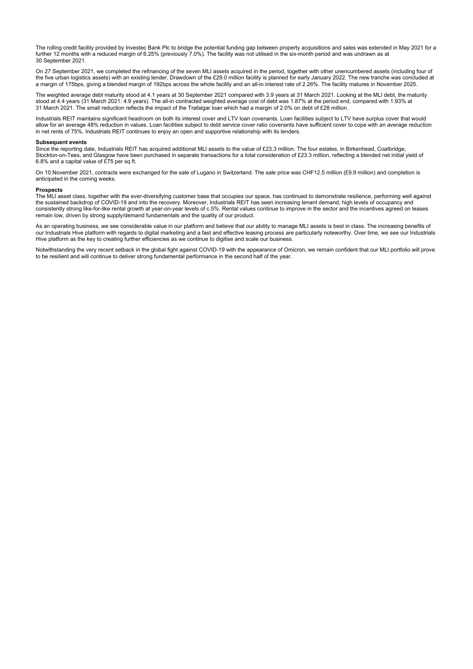The rolling credit facility provided by Investec Bank Plc to bridge the potential funding gap between property acquisitions and sales was extended in May 2021 for a further 12 months with a reduced margin of 6.25% (previously 7.0%). The facility was not utilised in the six-month period and was undrawn as at 30 September 2021.

On 27 September 2021, we completed the refinancing of the seven MLI assets acquired in the period, together with other unencumbered assets (including four of the five urban logistics assets) with an existing lender. Drawdown of the £29.0 million facility is planned for early January 2022. The new tranche was concluded at a margin of 175bps, giving a blended margin of 192bps across the whole facility and an all-in interest rate of 2.26%. The facility matures in November 2025.

The weighted average debt maturity stood at 4.1 years at 30 September 2021 compared with 3.9 years at 31 March 2021. Looking at the MLI debt, the maturity stood at 4.4 years (31 March 2021: 4.9 years). The all-in contracted weighted average cost of debt was 1.87% at the period end, compared with 1.93% at 31 March 2021. The small reduction reflects the impact of the Trafalgar loan which had a margin of 2.0% on debt of £28 million.

Industrials REIT maintains significant headroom on both its interest cover and LTV loan covenants. Loan facilities subject to LTV have surplus cover that would allow for an average 48% reduction in values. Loan facilities subject to debt service cover ratio covenants have sufficient cover to cope with an average reduction in net rents of 75%. Industrials REIT continues to enjoy an open and supportive relationship with its lenders.

#### **Subsequent events**

Since the reporting date, Industrials REIT has acquired additional MLI assets to the value of £23.3 million. The four estates, in Birkenhead, Coatbridge, Stockton-on-Tees, and Glasgow have been purchased in separate transactions for a total consideration of £23.3 million, reflecting a blended net initial yield of 6.8% and a capital value of £75 per sq ft.

On 10 November 2021, contracts were exchanged for the sale of Lugano in Switzerland. The sale price was CHF12.5 million (£9.9 million) and completion is anticipated in the coming weeks.

### **Prospects**

The MLI asset class, together with the ever-diversifying customer base that occupies our space, has continued to demonstrate resilience, performing well against the sustained backdrop of COVID-19 and into the recovery. Moreover, Industrials REIT has seen increasing tenant demand, high levels of occupancy and consistently strong like-for-like rental growth at year-on-year levels of c.5%. Rental values continue to improve in the sector and the incentives agreed on leases remain low, driven by strong supply/demand fundamentals and the quality of our product.

As an operating business, we see considerable value in our platform and believe that our ability to manage MLI assets is best in class. The increasing benefits of our Industrials Hive platform with regards to digital marketing and a fast and effective leasing process are particularly noteworthy. Over time, we see our Industrials Hive platform as the key to creating further efficiencies as we continue to digitise and scale our business.

Notwithstanding the very recent setback in the global fight against COVID-19 with the appearance of Omicron, we remain confident that our MLI portfolio will prove to be resilient and will continue to deliver strong fundamental performance in the second half of the year.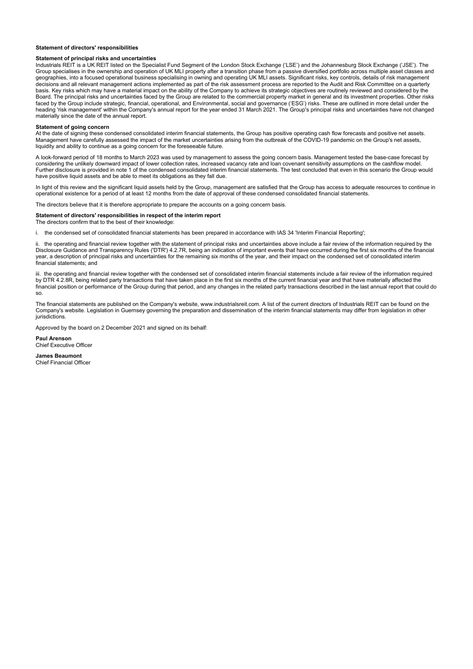#### **Statement of directors' responsibilities**

#### **Statement of principal risks and uncertainties**

Industrials REIT is a UK REIT listed on the Specialist Fund Segment of the London Stock Exchange ('LSE') and the Johannesburg Stock Exchange ('JSE'). The Group specialises in the ownership and operation of UK MLI property after a transition phase from a passive diversified portfolio across multiple asset classes and geographies, into a focused operational business specialising in owning and operating UK MLI assets. Significant risks, key controls, details of risk management decisions and all relevant management actions implemented as part of the risk assessment process are reported to the Audit and Risk Committee on a quarterly basis. Key risks which may have a material impact on the ability of the Company to achieve its strategic objectives are routinely reviewed and considered by the Board. The principal risks and uncertainties faced by the Group are related to the commercial property market in general and its investment properties. Other risks faced by the Group include strategic, financial, operational, and Environmental, social and governance ('ESG') risks. These are outlined in more detail under the heading 'risk management' within the Company's annual report for the year ended 31 March 2021. The Group's principal risks and uncertainties have not changed materially since the date of the annual report.

### **Statement of going concern**

At the date of signing these condensed consolidated interim financial statements, the Group has positive operating cash flow forecasts and positive net assets. Management have carefully assessed the impact of the market uncertainties arising from the outbreak of the COVID-19 pandemic on the Group's net assets, liquidity and ability to continue as a going concern for the foreseeable future.

A look-forward period of 18 months to March 2023 was used by management to assess the going concern basis. Management tested the base-case forecast by considering the unlikely downward impact of lower collection rates, increased vacancy rate and loan covenant sensitivity assumptions on the cashflow model. Further disclosure is provided in note 1 of the condensed consolidated interim financial statements. The test concluded that even in this scenario the Group would have positive liquid assets and be able to meet its obligations as they fall due.

In light of this review and the significant liquid assets held by the Group, management are satisfied that the Group has access to adequate resources to continue in operational existence for a period of at least 12 months from the date of approval of these condensed consolidated financial statements.

The directors believe that it is therefore appropriate to prepare the accounts on a going concern basis.

## **Statement of directors' responsibilities in respect of the interim report**

The directors confirm that to the best of their knowledge:

i. the condensed set of consolidated financial statements has been prepared in accordance with IAS 34 'Interim Financial Reporting';

ii. the operating and financial review together with the statement of principal risks and uncertainties above include a fair review of the information required by the Disclosure Guidance and Transparency Rules ('DTR') 4.2.7R, being an indication of important events that have occurred during the first six months of the financial year, a description of principal risks and uncertainties for the remaining six months of the year, and their impact on the condensed set of consolidated interim financial statements; and

iii. the operating and financial review together with the condensed set of consolidated interim financial statements include a fair review of the information required by DTR 4.2.8R, being related party transactions that have taken place in the first six months of the current financial year and that have materially affected the financial position or performance of the Group during that period, and any changes in the related party transactions described in the last annual report that could do so.

The financial statements are published on the Company's website, www.industrialsreit.com. A list of the current directors of Industrials REIT can be found on the Company's website. Legislation in Guernsey governing the preparation and dissemination of the interim financial statements may differ from legislation in other iurisdictions

Approved by the board on 2 December 2021 and signed on its behalf:

**Paul Arenson**  Chief Executive Officer

**James Beaumont**  Chief Financial Officer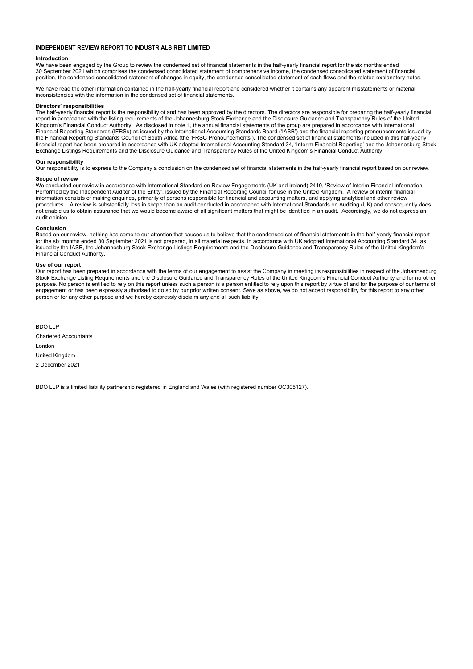## **INDEPENDENT REVIEW REPORT TO INDUSTRIALS REIT LIMITED**

#### **Introduction**

We have been engaged by the Group to review the condensed set of financial statements in the half-yearly financial report for the six months ended 30 September 2021 which comprises the condensed consolidated statement of comprehensive income, the condensed consolidated statement of financial position, the condensed consolidated statement of changes in equity, the condensed consolidated statement of cash flows and the related explanatory notes.

We have read the other information contained in the half-yearly financial report and considered whether it contains any apparent misstatements or material inconsistencies with the information in the condensed set of financial statements.

### **Directors' responsibilities**

The half-yearly financial report is the responsibility of and has been approved by the directors. The directors are responsible for preparing the half-yearly financial report in accordance with the listing requirements of the Johannesburg Stock Exchange and the Disclosure Guidance and Transparency Rules of the United Kingdom's Financial Conduct Authority. As disclosed in note 1, the annual financial statements of the group are prepared in accordance with International Financial Reporting Standards (IFRSs) as issued by the International Accounting Standards Board ('IASB') and the financial reporting pronouncements issued by the Financial Reporting Standards Council of South Africa (the 'FRSC Pronouncements'). The condensed set of financial statements included in this half-yearly financial report has been prepared in accordance with UK adopted International Accounting Standard 34, 'Interim Financial Reporting' and the Johannesburg Stock Exchange Listings Requirements and the Disclosure Guidance and Transparency Rules of the United Kingdom's Financial Conduct Authority.

### **Our responsibility**

Our responsibility is to express to the Company a conclusion on the condensed set of financial statements in the half-yearly financial report based on our review.

### **Scope of review**

We conducted our review in accordance with International Standard on Review Engagements (UK and Ireland) 2410, 'Review of Interim Financial Information Performed by the Independent Auditor of the Entity', issued by the Financial Reporting Council for use in the United Kingdom. A review of interim financial information consists of making enquiries, primarily of persons responsible for financial and accounting matters, and applying analytical and other review procedures. A review is substantially less in scope than an audit conducted in accordance with International Standards on Auditing (UK) and consequently does not enable us to obtain assurance that we would become aware of all significant matters that might be identified in an audit. Accordingly, we do not express an audit opinion.

#### **Conclusion**

Based on our review, nothing has come to our attention that causes us to believe that the condensed set of financial statements in the half-yearly financial report for the six months ended 30 September 2021 is not prepared, in all material respects, in accordance with UK adopted International Accounting Standard 34, as issued by the IASB, the Johannesburg Stock Exchange Listings Requirements and the Disclosure Guidance and Transparency Rules of the United Kingdom's Financial Conduct Authority.

#### **Use of our report**

Our report has been prepared in accordance with the terms of our engagement to assist the Company in meeting its responsibilities in respect of the Johannesburg Stock Exchange Listing Requirements and the Disclosure Guidance and Transparency Rules of the United Kingdom's Financial Conduct Authority and for no other purpose. No person is entitled to rely on this report unless such a person is a person entitled to rely upon this report by virtue of and for the purpose of our terms of engagement or has been expressly authorised to do so by our prior written consent. Save as above, we do not accept responsibility for this report to any other person or for any other purpose and we hereby expressly disclaim any and all such liability.

BDO LLP Chartered Accountants London United Kingdom 2 December 2021

BDO LLP is a limited liability partnership registered in England and Wales (with registered number OC305127).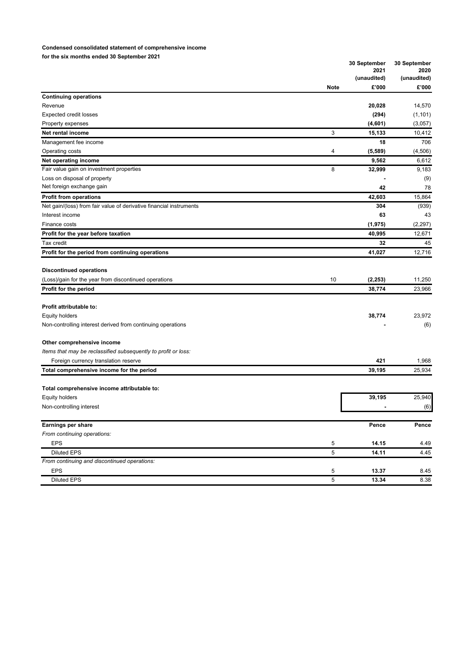## **Condensed consolidated statement of comprehensive income for the six months ended 30 September 2021**

|                                                                                                                  |             | 30 September<br>2021<br>(unaudited) | 30 September<br>2020<br>(unaudited) |
|------------------------------------------------------------------------------------------------------------------|-------------|-------------------------------------|-------------------------------------|
|                                                                                                                  | <b>Note</b> | £'000                               | £'000                               |
| <b>Continuing operations</b>                                                                                     |             |                                     |                                     |
| Revenue                                                                                                          |             | 20,028                              | 14,570                              |
| <b>Expected credit losses</b>                                                                                    |             | (294)                               | (1, 101)                            |
| Property expenses                                                                                                |             | (4,601)                             | (3,057)                             |
| Net rental income                                                                                                | 3           | 15,133                              | 10,412                              |
| Management fee income                                                                                            |             | 18                                  | 706                                 |
| Operating costs                                                                                                  | 4           | (5,589)                             | (4,506)                             |
| Net operating income                                                                                             |             | 9,562                               | 6,612                               |
| Fair value gain on investment properties                                                                         | 8           | 32,999                              | 9,183                               |
| Loss on disposal of property                                                                                     |             |                                     | (9)                                 |
| Net foreign exchange gain                                                                                        |             | 42                                  | 78                                  |
| <b>Profit from operations</b>                                                                                    |             | 42,603                              | 15,864                              |
| Net gain/(loss) from fair value of derivative financial instruments                                              |             | 304                                 | (939)                               |
| Interest income                                                                                                  |             | 63                                  | 43                                  |
| Finance costs                                                                                                    |             | (1, 975)                            | (2,297)                             |
| Profit for the year before taxation                                                                              |             | 40,995                              | 12,671                              |
| Tax credit                                                                                                       |             | 32                                  | 45                                  |
| Profit for the period from continuing operations                                                                 |             | 41,027                              | 12,716                              |
| <b>Discontinued operations</b><br>(Loss)/gain for the year from discontinued operations<br>Profit for the period | 10          | (2, 253)<br>38,774                  | 11,250<br>23,966                    |
|                                                                                                                  |             |                                     |                                     |
| Profit attributable to:                                                                                          |             |                                     |                                     |
| <b>Equity holders</b>                                                                                            |             | 38,774                              | 23,972                              |
| Non-controlling interest derived from continuing operations                                                      |             |                                     | (6)                                 |
| Other comprehensive income                                                                                       |             |                                     |                                     |
| Items that may be reclassified subsequently to profit or loss:                                                   |             |                                     |                                     |
| Foreign currency translation reserve                                                                             |             | 421                                 | 1,968                               |
| Total comprehensive income for the period                                                                        |             | 39,195                              | 25,934                              |
| Total comprehensive income attributable to:                                                                      |             |                                     |                                     |
| <b>Equity holders</b>                                                                                            |             | 39,195                              | 25,940                              |
| Non-controlling interest                                                                                         |             |                                     | (6)                                 |
|                                                                                                                  |             |                                     |                                     |
| Earnings per share                                                                                               |             | Pence                               | Pence                               |
| From continuing operations:                                                                                      |             |                                     |                                     |
| <b>EPS</b>                                                                                                       | 5           | 14.15                               | 4.49                                |
| <b>Diluted EPS</b>                                                                                               | 5           | 14.11                               | 4.45                                |
| From continuing and discontinued operations:                                                                     |             |                                     |                                     |
| <b>EPS</b>                                                                                                       | 5           | 13.37                               | 8.45                                |
| <b>Diluted EPS</b>                                                                                               | $\sqrt{5}$  | 13.34                               | 8.38                                |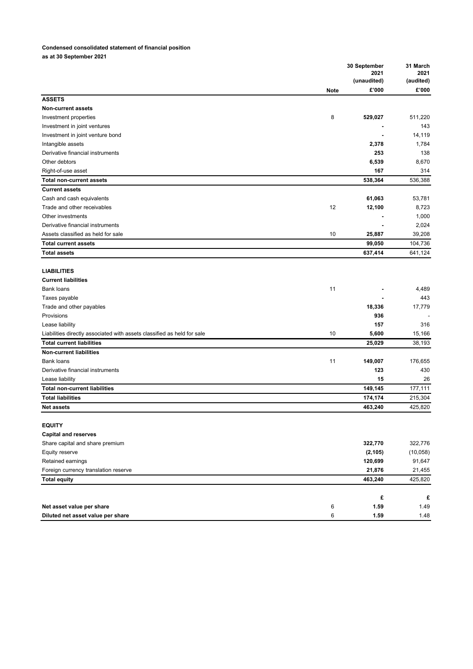# **Condensed consolidated statement of financial position**

**as at 30 September 2021** 

|                                                                         |             | 30 September<br>2021<br>(unaudited) | 31 March<br>2021<br>(audited) |
|-------------------------------------------------------------------------|-------------|-------------------------------------|-------------------------------|
|                                                                         | <b>Note</b> | £'000                               | $\pmb{\mathfrak{E}}$ '000     |
| <b>ASSETS</b>                                                           |             |                                     |                               |
| <b>Non-current assets</b>                                               |             |                                     |                               |
| Investment properties                                                   | 8           | 529,027                             | 511,220                       |
| Investment in joint ventures                                            |             |                                     | 143                           |
| Investment in joint venture bond                                        |             |                                     | 14,119                        |
| Intangible assets                                                       |             | 2,378                               | 1,784                         |
| Derivative financial instruments                                        |             | 253                                 | 138                           |
| Other debtors                                                           |             | 6,539                               | 8,670                         |
| Right-of-use asset                                                      |             | 167                                 | 314                           |
| <b>Total non-current assets</b>                                         |             | 538,364                             | 536,388                       |
| <b>Current assets</b>                                                   |             |                                     |                               |
| Cash and cash equivalents                                               |             | 61,063                              | 53,781                        |
| Trade and other receivables                                             | 12          | 12,100                              | 8,723                         |
| Other investments                                                       |             |                                     | 1,000                         |
| Derivative financial instruments                                        |             |                                     | 2,024                         |
| Assets classified as held for sale                                      | 10          | 25,887                              | 39,208                        |
| <b>Total current assets</b>                                             |             | 99,050                              | 104,736                       |
| <b>Total assets</b>                                                     |             | 637,414                             | 641,124                       |
|                                                                         |             |                                     |                               |
| <b>LIABILITIES</b>                                                      |             |                                     |                               |
| <b>Current liabilities</b>                                              |             |                                     |                               |
| <b>Bank loans</b>                                                       | 11          |                                     | 4,489                         |
| Taxes payable                                                           |             |                                     | 443                           |
| Trade and other payables                                                |             | 18,336                              | 17,779                        |
| Provisions                                                              |             | 936                                 |                               |
| Lease liability                                                         |             | 157                                 | 316                           |
| Liabilities directly associated with assets classified as held for sale | 10          | 5,600                               | 15,166                        |
| <b>Total current liabilities</b>                                        |             | 25,029                              | 38,193                        |
| <b>Non-current liabilities</b>                                          |             |                                     |                               |
| <b>Bank loans</b>                                                       | 11          | 149,007                             | 176,655                       |
| Derivative financial instruments                                        |             | 123                                 | 430                           |
|                                                                         |             |                                     |                               |
| Lease liability                                                         |             | 15                                  | 26                            |
| <b>Total non-current liabilities</b>                                    |             | 149,145                             | 177,111                       |
| <b>Total liabilities</b>                                                |             | 174,174                             | 215,304                       |
| <b>Net assets</b>                                                       |             | 463,240                             | 425,820                       |
|                                                                         |             |                                     |                               |
| <b>EQUITY</b>                                                           |             |                                     |                               |
| <b>Capital and reserves</b>                                             |             |                                     |                               |
| Share capital and share premium                                         |             | 322,770                             | 322,776                       |
| Equity reserve                                                          |             | (2, 105)                            | (10, 058)                     |
| Retained earnings                                                       |             | 120,699                             | 91,647                        |
| Foreign currency translation reserve                                    |             | 21,876                              | 21,455                        |
| <b>Total equity</b>                                                     |             | 463,240                             | 425,820                       |
|                                                                         |             |                                     |                               |
|                                                                         |             | £                                   | £                             |
| Net asset value per share                                               | 6           | 1.59                                | 1.49                          |
| Diluted net asset value per share                                       | 6           | 1.59                                | 1.48                          |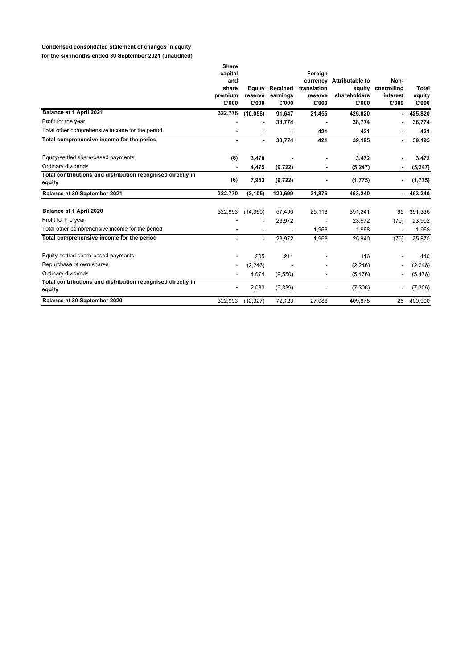# **Condensed consolidated statement of changes in equity**

**for the six months ended 30 September 2021 (unaudited)** 

|                                                                       | <b>Share</b><br>capital<br>and<br>share<br>premium | Equity<br>reserve        | Retained<br>earnings | Foreign<br>currency<br>translation<br>reserve | <b>Attributable to</b><br>equity<br>shareholders | Non-<br>controlling<br>interest | <b>Total</b><br>equity |
|-----------------------------------------------------------------------|----------------------------------------------------|--------------------------|----------------------|-----------------------------------------------|--------------------------------------------------|---------------------------------|------------------------|
|                                                                       | £'000                                              | £'000                    | £'000                | £'000                                         | £'000                                            | £'000                           | £'000                  |
| Balance at 1 April 2021                                               | 322,776                                            | (10, 058)                | 91,647               | 21,455                                        | 425,820                                          | ۰.                              | 425,820                |
| Profit for the year                                                   |                                                    |                          | 38,774               |                                               | 38,774                                           |                                 | 38,774                 |
| Total other comprehensive income for the period                       |                                                    |                          |                      | 421                                           | 421                                              |                                 | 421                    |
| Total comprehensive income for the period                             | ٠                                                  | $\blacksquare$           | 38,774               | 421                                           | 39,195                                           | ٠                               | 39,195                 |
| Equity-settled share-based payments                                   | (6)                                                | 3,478                    |                      |                                               | 3,472                                            |                                 | 3,472                  |
| Ordinary dividends                                                    |                                                    | 4,475                    | (9,722)              |                                               | (5, 247)                                         |                                 | (5, 247)               |
| Total contributions and distribution recognised directly in<br>equity | (6)                                                | 7,953                    | (9, 722)             |                                               | (1,775)                                          |                                 | (1, 775)               |
| Balance at 30 September 2021                                          | 322,770                                            | (2, 105)                 | 120,699              | 21,876                                        | 463,240                                          | $\sim$                          | 463,240                |
| Balance at 1 April 2020                                               | 322,993                                            | (14,360)                 | 57,490               | 25,118                                        | 391,241                                          | 95                              | 391,336                |
| Profit for the year                                                   |                                                    |                          | 23,972               |                                               | 23,972                                           | (70)                            | 23,902                 |
| Total other comprehensive income for the period                       |                                                    |                          |                      | 1,968                                         | 1,968                                            |                                 | 1,968                  |
| Total comprehensive income for the period                             |                                                    | $\overline{\phantom{a}}$ | 23,972               | 1,968                                         | 25,940                                           | (70)                            | 25,870                 |
| Equity-settled share-based payments                                   |                                                    | 205                      | 211                  |                                               | 416                                              |                                 | 416                    |
| Repurchase of own shares                                              | -                                                  | (2, 246)                 |                      |                                               | (2, 246)                                         |                                 | (2, 246)               |
| Ordinary dividends                                                    |                                                    | 4,074                    | (9,550)              |                                               | (5, 476)                                         |                                 | (5, 476)               |
| Total contributions and distribution recognised directly in<br>equity |                                                    | 2,033                    | (9, 339)             |                                               | (7,306)                                          |                                 | (7,306)                |
| Balance at 30 September 2020                                          | 322,993                                            | (12, 327)                | 72,123               | 27,086                                        | 409,875                                          | 25                              | 409,900                |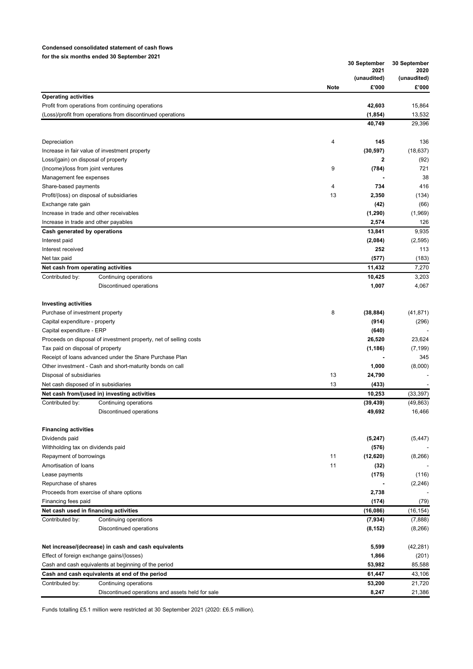## **Condensed consolidated statement of cash flows for the six months ended 30 September 2021**

|                                                                   | 30 September |                      | 30 September         |
|-------------------------------------------------------------------|--------------|----------------------|----------------------|
|                                                                   |              | 2021                 | 2020                 |
|                                                                   | <b>Note</b>  | (unaudited)<br>£'000 | (unaudited)<br>£'000 |
| <b>Operating activities</b>                                       |              |                      |                      |
| Profit from operations from continuing operations                 |              | 42,603               | 15,864               |
| (Loss)/profit from operations from discontinued operations        |              | (1, 854)             | 13,532               |
|                                                                   |              | 40,749               | 29,396               |
| Depreciation                                                      | 4            | 145                  | 136                  |
| Increase in fair value of investment property                     |              | (30, 597)            | (18, 637)            |
| Loss/(gain) on disposal of property                               |              | 2                    | (92)                 |
| (Income)/loss from joint ventures                                 | 9            | (784)                | 721                  |
| Management fee expenses                                           |              |                      | 38                   |
| Share-based payments                                              | 4            | 734                  | 416                  |
| Profit/(loss) on disposal of subsidiaries                         | 13           | 2,350                | (134)                |
| Exchange rate gain                                                |              | (42)                 | (66)                 |
| Increase in trade and other receivables                           |              | (1, 290)             | (1,969)              |
| Increase in trade and other payables                              |              | 2,574                | 126                  |
| Cash generated by operations                                      |              | 13,841               | 9,935                |
| Interest paid                                                     |              | (2,084)              | (2,595)              |
| Interest received                                                 |              | 252                  | 113                  |
| Net tax paid                                                      |              | (577)                | (183)                |
| Net cash from operating activities                                |              | 11,432               | 7,270                |
| Contributed by:<br>Continuing operations                          |              | 10,425               | 3,203                |
| Discontinued operations                                           |              | 1,007                | 4,067                |
| <b>Investing activities</b>                                       |              |                      |                      |
| Purchase of investment property                                   | 8            | (38, 884)            | (41, 871)            |
| Capital expenditure - property                                    |              | (914)                | (296)                |
| Capital expenditure - ERP                                         |              | (640)                |                      |
| Proceeds on disposal of investment property, net of selling costs |              | 26,520               | 23,624               |
| Tax paid on disposal of property                                  |              | (1, 186)             | (7, 199)             |
| Receipt of loans advanced under the Share Purchase Plan           |              |                      | 345                  |
| Other investment - Cash and short-maturity bonds on call          |              | 1,000                | (8,000)              |
| Disposal of subsidiaries                                          | 13           | 24,790               |                      |
| Net cash disposed of in subsidiaries                              | 13           | (433)                |                      |
| Net cash from/(used in) investing activities                      |              | 10,253               | (33, 397)            |
| Contributed by:<br>Continuing operations                          |              | (39, 439)            | (49, 863)            |
| Discontinued operations                                           |              | 49,692               | 16,466               |
| <b>Financing activities</b>                                       |              |                      |                      |
| Dividends paid                                                    |              | (5, 247)             | (5, 447)             |
| Withholding tax on dividends paid                                 |              | (576)                |                      |
| Repayment of borrowings                                           | 11           | (12,620)             | (8, 266)             |
| Amortisation of loans                                             | 11           | (32)                 |                      |
| Lease payments                                                    |              | (175)                | (116)                |
| Repurchase of shares                                              |              |                      | (2, 246)             |
| Proceeds from exercise of share options                           |              | 2,738                |                      |
| Financing fees paid                                               |              | (174)                | (79)                 |
| Net cash used in financing activities                             |              | (16,086)             | (16, 154)            |
| Contributed by:<br>Continuing operations                          |              | (7,934)              | (7,888)              |
| Discontinued operations                                           |              | (8, 152)             | (8, 266)             |
| Net increase/(decrease) in cash and cash equivalents              |              | 5,599                | (42, 281)            |
| Effect of foreign exchange gains/(losses)                         |              | 1,866                | (201)                |
| Cash and cash equivalents at beginning of the period              |              | 53,982               | 85,588               |
| Cash and cash equivalents at end of the period                    |              | 61,447               | 43,106               |
| Contributed by:<br>Continuing operations                          |              | 53,200               | 21,720               |
| Discontinued operations and assets held for sale                  |              | 8,247                | 21,386               |

Funds totalling £5.1 million were restricted at 30 September 2021 (2020: £6.5 million).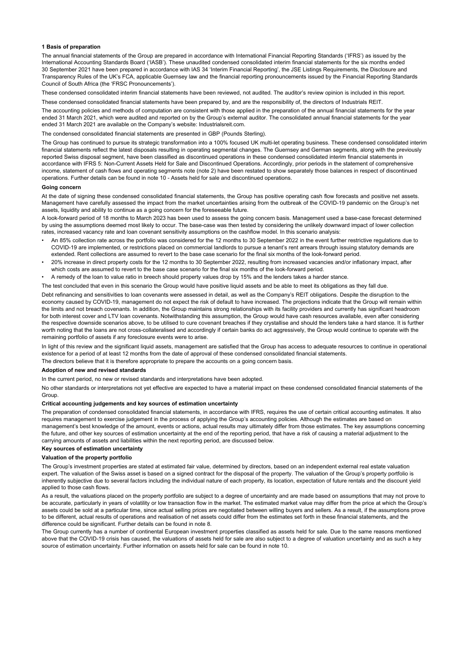### **1 Basis of preparation**

The annual financial statements of the Group are prepared in accordance with International Financial Reporting Standards ('IFRS') as issued by the International Accounting Standards Board ('IASB'). These unaudited condensed consolidated interim financial statements for the six months ended 30 September 2021 have been prepared in accordance with IAS 34 'Interim Financial Reporting', the JSE Listings Requirements, the Disclosure and Transparency Rules of the UK's FCA, applicable Guernsey law and the financial reporting pronouncements issued by the Financial Reporting Standards Council of South Africa (the 'FRSC Pronouncements').

These condensed consolidated interim financial statements have been reviewed, not audited. The auditor's review opinion is included in this report.

ondensed consolidated financial statements have been prepared by, and are the responsibility of, the directors of Industrials REIT.

The accounting policies and methods of computation are consistent with those applied in the preparation of the annual financial statements for the year ended 31 March 2021, which were audited and reported on by the Group's external auditor. The consolidated annual financial statements for the year ended 31 March 2021 are available on the Company's website: Industrialsreit.com.

The condensed consolidated financial statements are presented in GBP (Pounds Sterling).

The Group has continued to pursue its strategic transformation into a 100% focused UK multi-let operating business. These condensed consolidated interim financial statements reflect the latest disposals resulting in operating segmental changes. The Guernsey and German segments, along with the previously reported Swiss disposal segment, have been classified as discontinued operations in these condensed consolidated interim financial statements in accordance with IFRS 5: Non-Current Assets Held for Sale and Discontinued Operations. Accordingly, prior periods in the statement of comprehensive income, statement of cash flows and operating segments note (note 2) have been restated to show separately those balances in respect of discontinued operations. Further details can be found in note 10 - Assets held for sale and discontinued operations.

### **Going concern**

At the date of signing these condensed consolidated financial statements, the Group has positive operating cash flow forecasts and positive net assets. Management have carefully assessed the impact from the market uncertainties arising from the outbreak of the COVID-19 pandemic on the Group's net assets, liquidity and ability to continue as a going concern for the foreseeable future.

A look-forward period of 18 months to March 2023 has been used to assess the going concern basis. Management used a base-case forecast determined by using the assumptions deemed most likely to occur. The base-case was then tested by considering the unlikely downward impact of lower collection rates, increased vacancy rate and loan covenant sensitivity assumptions on the cashflow model. In this scenario analysis:

- An 85% collection rate across the portfolio was considered for the 12 months to 30 September 2022 in the event further restrictive regulations due to COVID-19 are implemented, or restrictions placed on commercial landlords to pursue a tenant's rent arrears through issuing statutory demands are extended. Rent collections are assumed to revert to the base case scenario for the final six months of the look-forward period.
- 20% increase in direct property costs for the 12 months to 30 September 2022, resulting from increased vacancies and/or inflationary impact, after which costs are assumed to revert to the base case scenario for the final six months of the look-forward period.
- A remedy of the loan to value ratio in breech should property values drop by 15% and the lenders takes a harder stance.

The test concluded that even in this scenario the Group would have positive liquid assets and be able to meet its obligations as they fall due.

Debt refinancing and sensitivities to loan covenants were assessed in detail, as well as the Company's REIT obligations. Despite the disruption to the economy caused by COVID-19, management do not expect the risk of default to have increased. The projections indicate that the Group will remain within the limits and not breach covenants. In addition, the Group maintains strong relationships with its facility providers and currently has significant headroom for both interest cover and LTV loan covenants. Notwithstanding this assumption, the Group would have cash resources available, even after considering the respective downside scenarios above, to be utilised to cure covenant breaches if they crystallise and should the lenders take a hard stance. It is further worth noting that the loans are not cross-collateralised and accordingly if certain banks do act aggressively, the Group would continue to operate with the remaining portfolio of assets if any foreclosure events were to arise.

In light of this review and the significant liquid assets, management are satisfied that the Group has access to adequate resources to continue in operational existence for a period of at least 12 months from the date of approval of these condensed consolidated financial statements.

### The directors believe that it is therefore appropriate to prepare the accounts on a going concern basis.

## **Adoption of new and revised standards**

In the current period, no new or revised standards and interpretations have been adopted.

No other standards or interpretations not yet effective are expected to have a material impact on these condensed consolidated financial statements of the **Group** 

## **Critical accounting judgements and key sources of estimation uncertainty**

The preparation of condensed consolidated financial statements, in accordance with IFRS, requires the use of certain critical accounting estimates. It also requires management to exercise judgement in the process of applying the Group's accounting policies. Although the estimates are based on management's best knowledge of the amount, events or actions, actual results may ultimately differ from those estimates. The key assumptions concerning the future, and other key sources of estimation uncertainty at the end of the reporting period, that have a risk of causing a material adjustment to the carrying amounts of assets and liabilities within the next reporting period, are discussed below.

## **Key sources of estimation uncertainty**

### **Valuation of the property portfolio**

The Group's investment properties are stated at estimated fair value, determined by directors, based on an independent external real estate valuation expert. The valuation of the Swiss asset is based on a signed contract for the disposal of the property. The valuation of the Group's property portfolio is inherently subjective due to several factors including the individual nature of each property, its location, expectation of future rentals and the discount yield applied to those cash flows.

As a result, the valuations placed on the property portfolio are subject to a degree of uncertainty and are made based on assumptions that may not prove to be accurate, particularly in years of volatility or low transaction flow in the market. The estimated market value may differ from the price at which the Group's assets could be sold at a particular time, since actual selling prices are negotiated between willing buyers and sellers. As a result, if the assumptions prove to be different, actual results of operations and realisation of net assets could differ from the estimates set forth in these financial statements, and the difference could be significant. Further details can be found in note 8.

The Group currently has a number of continental European investment properties classified as assets held for sale. Due to the same reasons mentioned above that the COVID-19 crisis has caused, the valuations of assets held for sale are also subject to a degree of valuation uncertainty and as such a key source of estimation uncertainty. Further information on assets held for sale can be found in note 10.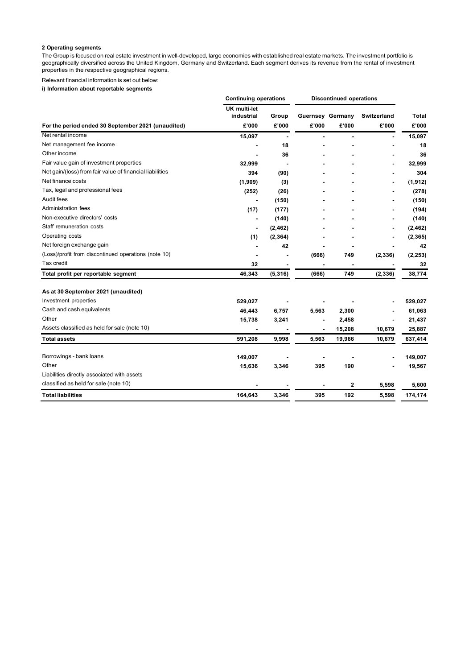# **2 Operating segments**

The Group is focused on real estate investment in well-developed, large economies with established real estate markets. The investment portfolio is geographically diversified across the United Kingdom, Germany and Switzerland. Each segment derives its revenue from the rental of investment properties in the respective geographical regions.

Relevant financial information is set out below:

**i) Information about reportable segments** 

|                                                          | <b>Continuing operations</b>      |          | <b>Discontinued operations</b> |        |             |              |
|----------------------------------------------------------|-----------------------------------|----------|--------------------------------|--------|-------------|--------------|
|                                                          | <b>UK multi-let</b><br>industrial | Group    | <b>Guernsey Germany</b>        |        | Switzerland | <b>Total</b> |
| For the period ended 30 September 2021 (unaudited)       | £'000                             | £'000    | £'000                          | £'000  | £'000       | £'000        |
| Net rental income                                        | 15,097                            |          |                                | ٠      |             | 15,097       |
| Net management fee income                                |                                   | 18       |                                |        |             | 18           |
| Other income                                             |                                   | 36       |                                |        |             | 36           |
| Fair value gain of investment properties                 | 32,999                            |          |                                |        |             | 32,999       |
| Net gain/(loss) from fair value of financial liabilities | 394                               | (90)     |                                |        |             | 304          |
| Net finance costs                                        | (1,909)                           | (3)      |                                |        |             | (1, 912)     |
| Tax, legal and professional fees                         | (252)                             | (26)     |                                |        |             | (278)        |
| Audit fees                                               |                                   | (150)    |                                |        |             | (150)        |
| Administration fees                                      | (17)                              | (177)    |                                |        |             | (194)        |
| Non-executive directors' costs                           |                                   | (140)    |                                |        |             | (140)        |
| Staff remuneration costs                                 | ٠                                 | (2, 462) |                                |        |             | (2, 462)     |
| Operating costs                                          | (1)                               | (2, 364) |                                |        |             | (2, 365)     |
| Net foreign exchange gain                                |                                   | 42       |                                |        |             | 42           |
| (Loss)/profit from discontinued operations (note 10)     |                                   |          | (666)                          | 749    | (2, 336)    | (2, 253)     |
| Tax credit                                               | 32                                |          |                                |        |             | 32           |
| Total profit per reportable segment                      | 46,343                            | (5, 316) | (666)                          | 749    | (2, 336)    | 38,774       |
| As at 30 September 2021 (unaudited)                      |                                   |          |                                |        |             |              |
| Investment properties                                    | 529,027                           |          |                                |        |             | 529,027      |
| Cash and cash equivalents                                | 46,443                            | 6,757    | 5,563                          | 2,300  |             | 61,063       |
| Other                                                    | 15,738                            | 3,241    |                                | 2,458  |             | 21,437       |
| Assets classified as held for sale (note 10)             |                                   |          |                                | 15,208 | 10,679      | 25,887       |
| <b>Total assets</b>                                      | 591,208                           | 9,998    | 5,563                          | 19,966 | 10,679      | 637,414      |
| Borrowings - bank loans                                  | 149,007                           |          |                                |        |             | 149,007      |
| Other                                                    | 15,636                            | 3,346    | 395                            | 190    |             | 19,567       |
| Liabilities directly associated with assets              |                                   |          |                                |        |             |              |
| classified as held for sale (note 10)                    |                                   |          |                                | 2      | 5,598       | 5,600        |
| <b>Total liabilities</b>                                 | 164,643                           | 3,346    | 395                            | 192    | 5,598       | 174,174      |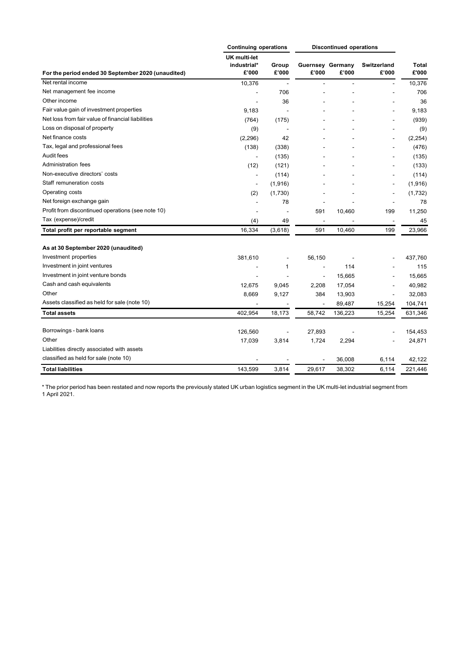|                                                    | <b>Continuing operations</b>                |                          | <b>Discontinued operations</b>   |                |                          |                       |
|----------------------------------------------------|---------------------------------------------|--------------------------|----------------------------------|----------------|--------------------------|-----------------------|
| For the period ended 30 September 2020 (unaudited) | <b>UK multi-let</b><br>industrial*<br>£'000 | Group<br>£'000           | <b>Guernsey Germany</b><br>£'000 | £'000          | Switzerland<br>£'000     | <b>Total</b><br>£'000 |
| Net rental income                                  | 10,376                                      |                          |                                  | $\overline{a}$ | $\overline{a}$           | 10,376                |
| Net management fee income                          |                                             | 706                      |                                  |                |                          | 706                   |
| Other income                                       |                                             | 36                       |                                  |                |                          | 36                    |
| Fair value gain of investment properties           | 9,183                                       |                          |                                  |                |                          | 9,183                 |
| Net loss from fair value of financial liabilities  | (764)                                       | (175)                    |                                  |                |                          | (939)                 |
| Loss on disposal of property                       | (9)                                         |                          |                                  |                |                          | (9)                   |
| Net finance costs                                  | (2,296)                                     | 42                       |                                  |                | $\overline{a}$           | (2, 254)              |
| Tax, legal and professional fees                   | (138)                                       | (338)                    |                                  |                |                          | (476)                 |
| Audit fees                                         |                                             | (135)                    |                                  |                |                          | (135)                 |
| Administration fees                                | (12)                                        | (121)                    |                                  |                |                          | (133)                 |
| Non-executive directors' costs                     |                                             | (114)                    |                                  |                |                          | (114)                 |
| Staff remuneration costs                           | $\overline{\phantom{a}}$                    | (1,916)                  |                                  |                | $\overline{\phantom{a}}$ | (1,916)               |
| Operating costs                                    | (2)                                         | (1,730)                  |                                  |                | $\overline{\phantom{a}}$ | (1,732)               |
| Net foreign exchange gain                          |                                             | 78                       |                                  |                | $\overline{\phantom{a}}$ | 78                    |
| Profit from discontinued operations (see note 10)  |                                             |                          | 591                              | 10,460         | 199                      | 11,250                |
| Tax (expense)/credit                               | (4)                                         | 49                       | ÷,                               |                | $\overline{\phantom{a}}$ | 45                    |
| Total profit per reportable segment                | 16,334                                      | (3,618)                  | 591                              | 10,460         | 199                      | 23,966                |
| As at 30 September 2020 (unaudited)                |                                             |                          |                                  |                |                          |                       |
| Investment properties                              | 381,610                                     | $\overline{\phantom{m}}$ | 56,150                           |                |                          | 437,760               |
| Investment in joint ventures                       |                                             | $\mathbf{1}$             | $\overline{a}$                   | 114            |                          | 115                   |
| Investment in joint venture bonds                  |                                             |                          | $\overline{a}$                   | 15,665         |                          | 15,665                |
| Cash and cash equivalents                          | 12,675                                      | 9,045                    | 2,208                            | 17,054         |                          | 40,982                |
| Other                                              | 8,669                                       | 9,127                    | 384                              | 13,903         |                          | 32,083                |
| Assets classified as held for sale (note 10)       |                                             |                          | $\overline{a}$                   | 89,487         | 15,254                   | 104,741               |
| <b>Total assets</b>                                | 402.954                                     | 18,173                   | 58.742                           | 136,223        | 15,254                   | 631,346               |
| Borrowings - bank loans                            | 126,560                                     |                          | 27,893                           |                |                          | 154,453               |
| Other                                              | 17,039                                      | 3,814                    | 1,724                            | 2,294          |                          | 24,871                |
| Liabilities directly associated with assets        |                                             |                          |                                  |                |                          |                       |
| classified as held for sale (note 10)              |                                             |                          |                                  | 36,008         | 6,114                    | 42,122                |
| <b>Total liabilities</b>                           | 143,599                                     | 3,814                    | 29,617                           | 38,302         | 6,114                    | 221,446               |

\* The prior period has been restated and now reports the previously stated UK urban logistics segment in the UK multi-let industrial segment from 1 April 2021.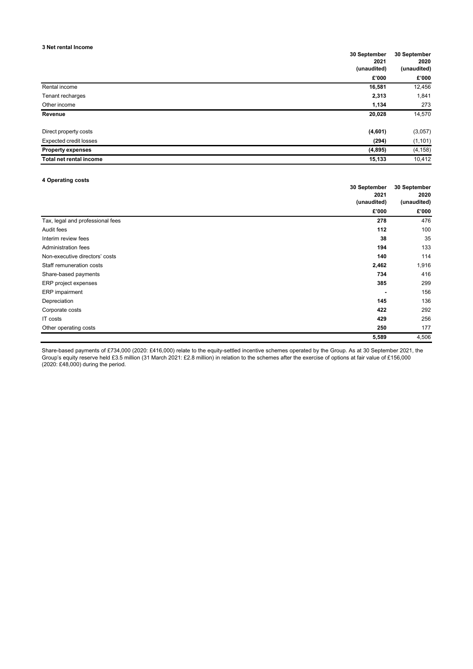## **3 Net rental Income**

| o net rental income           | 30 September<br>2021<br>(unaudited) | 30 September<br>2020<br>(unaudited) |
|-------------------------------|-------------------------------------|-------------------------------------|
|                               | £'000                               | £'000                               |
| Rental income                 | 16,581                              | 12,456                              |
| Tenant recharges              | 2,313                               | 1,841                               |
| Other income                  | 1,134                               | 273                                 |
| Revenue                       | 20,028                              | 14,570                              |
| Direct property costs         | (4,601)                             | (3,057)                             |
| <b>Expected credit losses</b> | (294)                               | (1, 101)                            |
| <b>Property expenses</b>      | (4,895)                             | (4, 158)                            |
| Total net rental income       | 15,133                              | 10,412                              |

## **4 Operating costs**

|                                  | 30 September | 30 September |
|----------------------------------|--------------|--------------|
|                                  | 2021         | 2020         |
|                                  | (unaudited)  | (unaudited)  |
|                                  | £'000        | £'000        |
| Tax, legal and professional fees | 278          | 476          |
| Audit fees                       | 112          | 100          |
| Interim review fees              | 38           | 35           |
| Administration fees              | 194          | 133          |
| Non-executive directors' costs   | 140          | 114          |
| Staff remuneration costs         | 2,462        | 1,916        |
| Share-based payments             | 734          | 416          |
| ERP project expenses             | 385          | 299          |
| ERP impairment                   |              | 156          |
| Depreciation                     | 145          | 136          |
| Corporate costs                  | 422          | 292          |
| IT costs                         | 429          | 256          |
| Other operating costs            | 250          | 177          |
|                                  | 5,589        | 4,506        |

Share-based payments of £734,000 (2020: £416,000) relate to the equity-settled incentive schemes operated by the Group. As at 30 September 2021, the Group's equity reserve held £3.5 million (31 March 2021: £2.8 million) in relation to the schemes after the exercise of options at fair value of £156,000 (2020: £48,000) during the period.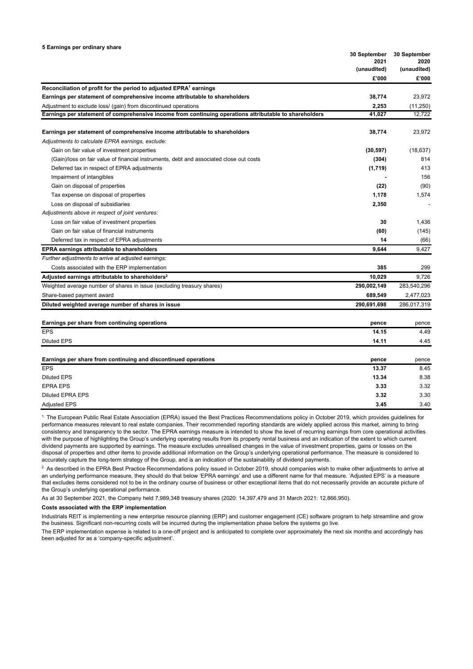|                                                                                                        | 30 September<br>2021 | 30 September<br>2020 |  |
|--------------------------------------------------------------------------------------------------------|----------------------|----------------------|--|
|                                                                                                        | (unaudited)          | (unaudited)          |  |
|                                                                                                        | £'000                | £'000                |  |
| Reconciliation of profit for the period to adjusted EPRA <sup>1</sup> earnings                         |                      |                      |  |
| Earnings per statement of comprehensive income attributable to shareholders                            | 38,774               | 23,972               |  |
| Adjustment to exclude loss/ (gain) from discontinued operations                                        | 2,253                | (11,250)             |  |
| Earnings per statement of comprehensive income from continuing operations attributable to shareholders | 41,027               | 12,722               |  |
|                                                                                                        |                      |                      |  |
| Earnings per statement of comprehensive income attributable to shareholders                            | 38,774               | 23,972               |  |
| Adjustments to calculate EPRA earnings, exclude:                                                       |                      |                      |  |
| Gain on fair value of investment properties                                                            | (30, 597)            | (18, 637)            |  |
| (Gain)/loss on fair value of financial instruments, debt and associated close out costs                | (304)                | 814                  |  |
| Deferred tax in respect of EPRA adjustments                                                            | (1,719)              | 413                  |  |
| Impairment of intangibles                                                                              |                      | 156                  |  |
| Gain on disposal of properties                                                                         | (22)                 | (90)                 |  |
| Tax expense on disposal of properties                                                                  | 1,178                | 1,574                |  |
| Loss on disposal of subsidiaries                                                                       | 2,350                |                      |  |
| Adjustments above in respect of joint ventures:                                                        |                      |                      |  |
| Loss on fair value of investment properties                                                            | 30                   | 1,436                |  |
| Gain on fair value of financial instruments                                                            | (60)                 | (145)                |  |
| Deferred tax in respect of EPRA adjustments                                                            | 14                   | (66)                 |  |
| <b>EPRA earnings attributable to shareholders</b>                                                      | 9.644                | 9.427                |  |
| Further adjustments to arrive at adjusted earnings:                                                    |                      |                      |  |
| Costs associated with the ERP implementation                                                           | 385                  | 299                  |  |
| Adjusted earnings attributable to shareholders <sup>2</sup>                                            | 10,029               | 9,726                |  |
| Weighted average number of shares in issue (excluding treasury shares)                                 | 290,002,149          | 283,540,296          |  |
| Share-based payment award                                                                              | 689,549              | 2,477,023            |  |
| Diluted weighted average number of shares in issue                                                     | 290,691,698          | 286,017,319          |  |
|                                                                                                        |                      |                      |  |
| Earnings per share from continuing operations                                                          | pence                | pence                |  |
| <b>EPS</b>                                                                                             | 14.15                | 4.49                 |  |
| Diluted EPS                                                                                            | 14.11                | 4.45                 |  |
| Earnings per share from continuing and discontinued operations                                         | pence                | pence                |  |
| <b>EPS</b>                                                                                             | 13.37                | 8.45                 |  |
| <b>Diluted EPS</b>                                                                                     | 13.34                | 8.38                 |  |
| <b>EPRA EPS</b>                                                                                        | 3.33                 | 3.32                 |  |
| <b>Diluted EPRA EPS</b>                                                                                | 3.32                 | 3.30                 |  |
| <b>Adjusted EPS</b>                                                                                    | 3.45                 | 3.40                 |  |

<sup>1.</sup> The European Public Real Estate Association (EPRA) issued the Best Practices Recommendations policy in October 2019, which provides quidelines for performance measures relevant to real estate companies. Their recommended reporting standards are widely applied across this market, aiming to bring consistency and transparency to the sector. The EPRA earnings measure is intended to show the level of recurring earnings from core operational activities with the purpose of highlighting the Group's underlying operating results from its property rental business and an indication of the extent to which current dividend payments are supported by earnings. The measure excludes unrealised changes in the value of investment properties, gains or losses on the disposal of properties and other items to provide additional information on the Group's underlying operational performance. The measure is considered to accurately capture the long-term strategy of the Group, and is an indication of the sustainability of dividend payments.

<sup>2.</sup> As described in the EPRA Best Practice Recommendations policy issued in October 2019, should companies wish to make other adjustments to arrive at an underlying performance measure, they should do that below 'EPRA earnings' and use a different name for that measure. 'Adjusted EPS' is a measure that excludes items considered not to be in the ordinary course of business or other exceptional items that do not necessarily provide an accurate picture of the Group's underlying operational performance.

As at 30 September 2021, the Company held 7,989,348 treasury shares (2020: 14,397,479 and 31 March 2021: 12,866,950).

## **Costs associated with the ERP implementation**

Industrials REIT is implementing a new enterprise resource planning (ERP) and customer engagement (CE) software program to help streamline and grow the business. Significant non-recurring costs will be incurred during the implementation phase before the systems go live.

The ERP implementation expense is related to a one-off project and is anticipated to complete over approximately the next six months and accordingly has been adjusted for as a 'company-specific adjustment'.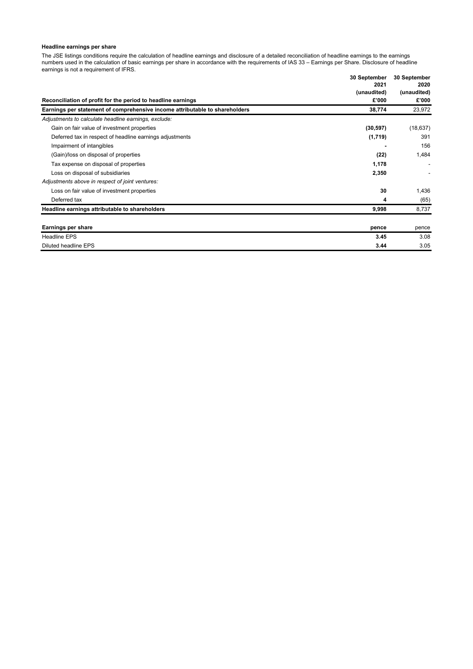## **Headline earnings per share**

The JSE listings conditions require the calculation of headline earnings and disclosure of a detailed reconciliation of headline earnings to the earnings numbers used in the calculation of basic earnings per share in accordance with the requirements of IAS 33 – Earnings per Share. Disclosure of headline earnings is not a requirement of IFRS. **30 September 30 September**

|                                                                             | 30 September<br>2021 | <b>30 September</b><br>2020 |  |
|-----------------------------------------------------------------------------|----------------------|-----------------------------|--|
|                                                                             | (unaudited)          | (unaudited)                 |  |
| Reconciliation of profit for the period to headline earnings                | £'000                | £'000                       |  |
| Earnings per statement of comprehensive income attributable to shareholders | 38,774               | 23,972                      |  |
| Adjustments to calculate headline earnings, exclude:                        |                      |                             |  |
| Gain on fair value of investment properties                                 | (30, 597)            | (18, 637)                   |  |
| Deferred tax in respect of headline earnings adjustments                    | (1,719)              | 391                         |  |
| Impairment of intangibles                                                   |                      | 156                         |  |
| (Gain)/loss on disposal of properties                                       | (22)                 | 1,484                       |  |
| Tax expense on disposal of properties                                       | 1,178                |                             |  |
| Loss on disposal of subsidiaries                                            | 2,350                |                             |  |
| Adjustments above in respect of joint ventures:                             |                      |                             |  |
| Loss on fair value of investment properties                                 | 30                   | 1,436                       |  |
| Deferred tax                                                                | 4                    | (65)                        |  |
| Headline earnings attributable to shareholders                              | 9,998                | 8,737                       |  |
| <b>Earnings per share</b>                                                   |                      |                             |  |
| <b>Headline EPS</b>                                                         | pence<br>3.45        | pence<br>3.08               |  |
|                                                                             |                      |                             |  |
| Diluted headline EPS                                                        | 3.44                 | 3.05                        |  |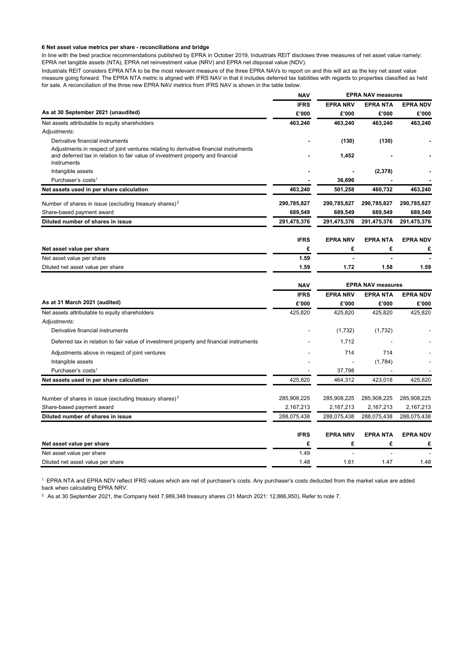## **6 Net asset value metrics per share - reconciliations and bridge**

In line with the best practice recommendations published by EPRA in October 2019, Industrials REIT discloses three measures of net asset value namely: EPRA net tangible assets (NTA), EPRA net reinvestment value (NRV) and EPRA net disposal value (NDV).

Industrials REIT considers EPRA NTA to be the most relevant measure of the three EPRA NAVs to report on and this will act as the key net asset value measure going forward. The EPRA NTA metric is aligned with IFRS NAV in that it includes deferred tax liabilities with regards to properties classified as held for sale. A reconciliation of the three new EPRA NAV metrics from IFRS NAV is shown in the table below.

|                                                                                                                                                                                         | <b>NAV</b>  | <b>EPRA NAV measures</b> |                 |                 |  |
|-----------------------------------------------------------------------------------------------------------------------------------------------------------------------------------------|-------------|--------------------------|-----------------|-----------------|--|
|                                                                                                                                                                                         | <b>IFRS</b> | <b>EPRA NRV</b>          | <b>EPRANTA</b>  | <b>EPRA NDV</b> |  |
| As at 30 September 2021 (unaudited)                                                                                                                                                     | £'000       | £'000                    | £'000           | £'000           |  |
| Net assets attributable to equity shareholders                                                                                                                                          | 463,240     | 463,240                  | 463,240         | 463,240         |  |
| Adjustments:                                                                                                                                                                            |             |                          |                 |                 |  |
| Derivative financial instruments                                                                                                                                                        |             | (130)                    | (130)           |                 |  |
| Adjustments in respect of joint ventures relating to derivative financial instruments<br>and deferred tax in relation to fair value of investment property and financial<br>instruments |             | 1,452                    |                 |                 |  |
| Intangible assets                                                                                                                                                                       |             |                          | (2, 378)        |                 |  |
| Purchaser's costs <sup>1</sup>                                                                                                                                                          |             | 36,696                   |                 |                 |  |
| Net assets used in per share calculation                                                                                                                                                | 463,240     | 501,258                  | 460,732         | 463,240         |  |
| Number of shares in issue (excluding treasury shares) <sup>2</sup>                                                                                                                      | 290,785,827 | 290,785,827              | 290,785,827     | 290,785,827     |  |
| Share-based payment award                                                                                                                                                               | 689,549     | 689,549                  | 689,549         | 689,549         |  |
| Diluted number of shares in issue                                                                                                                                                       | 291,475,376 | 291,475,376              | 291,475,376     | 291,475,376     |  |
|                                                                                                                                                                                         | <b>IFRS</b> | <b>EPRA NRV</b>          | <b>EPRANTA</b>  | <b>EPRA NDV</b> |  |
| Net asset value per share                                                                                                                                                               | £           | £                        | £               | £               |  |
| Net asset value per share                                                                                                                                                               | 1.59        |                          |                 |                 |  |
| Diluted net asset value per share                                                                                                                                                       | 1.59        | 1.72                     | 1.58            | 1.59            |  |
|                                                                                                                                                                                         |             |                          |                 |                 |  |
|                                                                                                                                                                                         | <b>NAV</b>  | <b>EPRA NAV measures</b> |                 |                 |  |
|                                                                                                                                                                                         | <b>IFRS</b> | <b>EPRA NRV</b>          | EPRA NTA        | <b>EPRA NDV</b> |  |
| As at 31 March 2021 (audited)                                                                                                                                                           | £'000       | £'000                    | £'000           | £'000           |  |
| Net assets attributable to equity shareholders<br>Adjustments:                                                                                                                          | 425,820     | 425,820                  | 425,820         | 425,820         |  |
| Derivative financial instruments                                                                                                                                                        |             | (1,732)                  | (1,732)         |                 |  |
| Deferred tax in relation to fair value of investment property and financial instruments                                                                                                 |             | 1,712                    |                 |                 |  |
| Adjustments above in respect of joint ventures                                                                                                                                          |             | 714                      | 714             |                 |  |
| Intangible assets                                                                                                                                                                       |             |                          | (1,784)         |                 |  |
| Purchaser's costs <sup>1</sup>                                                                                                                                                          |             | 37,798                   |                 |                 |  |
| Net assets used in per share calculation                                                                                                                                                | 425,820     | 464,312                  | 423,018         | 425,820         |  |
| Number of shares in issue (excluding treasury shares) <sup>2</sup>                                                                                                                      | 285,908,225 | 285,908,225              | 285,908,225     | 285,908,225     |  |
| Share-based payment award                                                                                                                                                               | 2,167,213   | 2,167,213                | 2,167,213       | 2,167,213       |  |
| Diluted number of shares in issue                                                                                                                                                       | 288,075,438 | 288,075,438              | 288,075,438     | 288,075,438     |  |
|                                                                                                                                                                                         | <b>IFRS</b> | <b>EPRA NRV</b>          | <b>EPRA NTA</b> | <b>EPRA NDV</b> |  |
| Net asset value per share                                                                                                                                                               | £           | £                        | £               | £               |  |
| Net asset value per share                                                                                                                                                               | 1.49        |                          |                 |                 |  |
| Diluted net asset value per share                                                                                                                                                       | 1.48        | 1.61                     | 1.47            | 1.48            |  |
|                                                                                                                                                                                         |             |                          |                 |                 |  |

<sup>1.</sup> EPRA NTA and EPRA NDV reflect IFRS values which are net of purchaser's costs. Any purchaser's costs deducted from the market value are added back when calculating EPRA NRV.

<sup>2</sup> As at 30 September 2021, the Company held 7,989,348 treasury shares (31 March 2021: 12,866,950). Refer to note 7.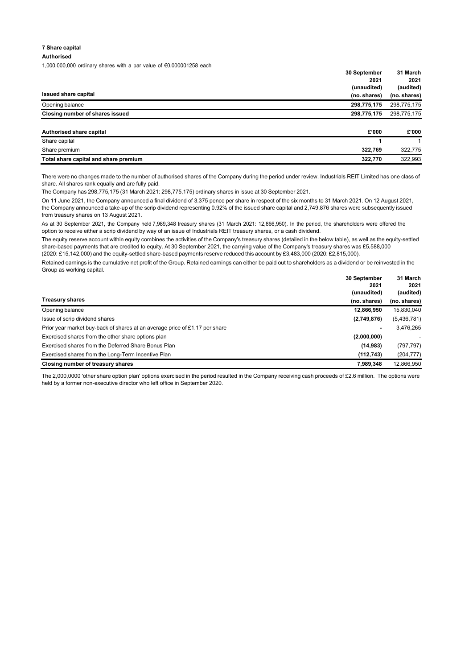## **7 Share capital**

## **Authorised**

1,000,000,000 ordinary shares with a par value of €0.000001258 each

|                                 | 30 September | 31 March     |
|---------------------------------|--------------|--------------|
|                                 | 2021         | 2021         |
|                                 | (unaudited)  | (audited)    |
| Issued share capital            | (no. shares) | (no. shares) |
| Opening balance                 | 298.775.175  | 298,775,175  |
| Closing number of shares issued | 298,775,175  | 298,775,175  |
|                                 |              |              |

| Authorised share capital              | £'000   | £'000   |
|---------------------------------------|---------|---------|
| Share capital                         |         |         |
| Share premium                         | 322.769 | 322.775 |
| Total share capital and share premium | 322.770 | 322.993 |

There were no changes made to the number of authorised shares of the Company during the period under review. Industrials REIT Limited has one class of share. All shares rank equally and are fully paid.

The Company has 298,775,175 (31 March 2021: 298,775,175) ordinary shares in issue at 30 September 2021.

On 11 June 2021, the Company announced a final dividend of 3.375 pence per share in respect of the six months to 31 March 2021. On 12 August 2021, the Company announced a take-up of the scrip dividend representing 0.92% of the issued share capital and 2,749,876 shares were subsequently issued from treasury shares on 13 August 2021.

As at 30 September 2021, the Company held 7,989,348 treasury shares (31 March 2021: 12,866,950). In the period, the shareholders were offered the option to receive either a scrip dividend by way of an issue of Industrials REIT treasury shares, or a cash dividend.

The equity reserve account within equity combines the activities of the Company's treasury shares (detailed in the below table), as well as the equity-settled share-based payments that are credited to equity. At 30 September 2021, the carrying value of the Company's treasury shares was £5,588,000 (2020: £15,142,000) and the equity-settled share-based payments reserve reduced this account by £3,483,000 (2020: £2,815,000).

Retained earnings is the cumulative net profit of the Group. Retained earnings can either be paid out to shareholders as a dividend or be reinvested in the Group as working capital.

|                                                                             | 30 September   | 31 March     |
|-----------------------------------------------------------------------------|----------------|--------------|
|                                                                             | 2021           | 2021         |
|                                                                             | (unaudited)    | (audited)    |
| <b>Treasury shares</b>                                                      | (no. shares)   | (no. shares) |
| Opening balance                                                             | 12,866,950     | 15,830,040   |
| Issue of scrip dividend shares                                              | (2,749,876)    | (5,436,781)  |
| Prior year market buy-back of shares at an average price of £1.17 per share | $\blacksquare$ | 3,476,265    |
| Exercised shares from the other share options plan                          | (2,000,000)    |              |
| Exercised shares from the Deferred Share Bonus Plan                         | (14, 983)      | (797, 797)   |
| Exercised shares from the Long-Term Incentive Plan                          | (112, 743)     | (204, 777)   |
| Closing number of treasury shares                                           | 7,989,348      | 12,866,950   |

The 2,000,0000 'other share option plan' options exercised in the period resulted in the Company receiving cash proceeds of £2.6 million. The options were held by a former non-executive director who left office in September 2020.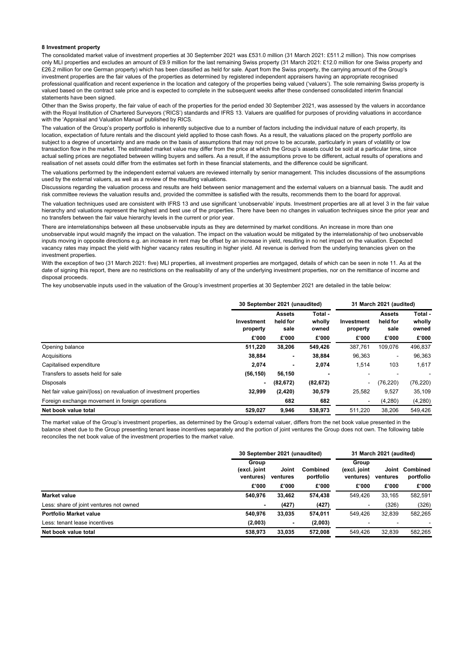## **8 Investment property**

The consolidated market value of investment properties at 30 September 2021 was £531.0 million (31 March 2021: £511.2 million). This now comprises only MLI properties and excludes an amount of £9.9 million for the last remaining Swiss property (31 March 2021: £12.0 million for one Swiss property and £26.2 million for one German property) which has been classified as held for sale. Apart from the Swiss property, the carrying amount of the Group's investment properties are the fair values of the properties as determined by registered independent appraisers having an appropriate recognised professional qualification and recent experience in the location and category of the properties being valued ('valuers'). The sole remaining Swiss property is valued based on the contract sale price and is expected to complete in the subsequent weeks after these condensed consolidated interim financial statements have been signed.

Other than the Swiss property, the fair value of each of the properties for the period ended 30 September 2021, was assessed by the valuers in accordance with the Royal Institution of Chartered Surveyors ('RICS') standards and IFRS 13. Valuers are qualified for purposes of providing valuations in accordance with the 'Appraisal and Valuation Manual' published by RICS.

The valuation of the Group's property portfolio is inherently subjective due to a number of factors including the individual nature of each property, its location, expectation of future rentals and the discount yield applied to those cash flows. As a result, the valuations placed on the property portfolio are subject to a degree of uncertainty and are made on the basis of assumptions that may not prove to be accurate, particularly in years of volatility or low transaction flow in the market. The estimated market value may differ from the price at which the Group's assets could be sold at a particular time, since actual selling prices are negotiated between willing buyers and sellers. As a result, if the assumptions prove to be different, actual results of operations and realisation of net assets could differ from the estimates set forth in these financial statements, and the difference could be significant.

The valuations performed by the independent external valuers are reviewed internally by senior management. This includes discussions of the assumptions used by the external valuers, as well as a review of the resulting valuations.

Discussions regarding the valuation process and results are held between senior management and the external valuers on a biannual basis. The audit and risk committee reviews the valuation results and, provided the committee is satisfied with the results, recommends them to the board for approval.

The valuation techniques used are consistent with IFRS 13 and use significant 'unobservable' inputs. Investment properties are all at level 3 in the fair value hierarchy and valuations represent the highest and best use of the properties. There have been no changes in valuation techniques since the prior year and no transfers between the fair value hierarchy levels in the current or prior year.

There are interrelationships between all these unobservable inputs as they are determined by market conditions. An increase in more than one unobservable input would magnify the impact on the valuation. The impact on the valuation would be mitigated by the interrelationship of two unobservable inputs moving in opposite directions e.g. an increase in rent may be offset by an increase in yield, resulting in no net impact on the valuation. Expected vacancy rates may impact the yield with higher vacancy rates resulting in higher yield. All revenue is derived from the underlying tenancies given on the investment properties.

With the exception of two (31 March 2021: five) MLI properties, all investment properties are mortgaged, details of which can be seen in note 11. As at the date of signing this report, there are no restrictions on the realisability of any of the underlying investment properties, nor on the remittance of income and disposal proceeds.

The key unobservable inputs used in the valuation of the Group's investment properties at 30 September 2021 are detailed in the table below:

|                                                                    | 30 September 2021 (unaudited)   |                                            |                                     | 31 March 2021 (audited)         |                                            |                                     |
|--------------------------------------------------------------------|---------------------------------|--------------------------------------------|-------------------------------------|---------------------------------|--------------------------------------------|-------------------------------------|
|                                                                    | Investment<br>property<br>£'000 | <b>Assets</b><br>held for<br>sale<br>£'000 | Total -<br>wholly<br>owned<br>£'000 | Investment<br>property<br>£'000 | <b>Assets</b><br>held for<br>sale<br>£'000 | Total -<br>wholly<br>owned<br>£'000 |
| Opening balance                                                    | 511,220                         | 38,206                                     | 549,426                             | 387,761                         | 109,076                                    | 496,837                             |
| Acquisitions                                                       | 38,884                          | ٠                                          | 38,884                              | 96,363                          | ۰                                          | 96,363                              |
| Capitalised expenditure                                            | 2,074                           |                                            | 2,074                               | 1,514                           | 103                                        | 1,617                               |
| Transfers to assets held for sale                                  | (56, 150)                       | 56,150                                     |                                     |                                 |                                            |                                     |
| <b>Disposals</b>                                                   | $\blacksquare$                  | (82, 672)                                  | (82, 672)                           | -                               | (76,220)                                   | (76, 220)                           |
| Net fair value gain/(loss) on revaluation of investment properties | 32,999                          | (2, 420)                                   | 30,579                              | 25,582                          | 9,527                                      | 35,109                              |
| Foreign exchange movement in foreign operations                    |                                 | 682                                        | 682                                 | $\overline{\phantom{a}}$        | (4,280)                                    | (4,280)                             |
| Net book value total                                               | 529,027                         | 9,946                                      | 538.973                             | 511.220                         | 38.206                                     | 549,426                             |

The market value of the Group's investment properties, as determined by the Group's external valuer, differs from the net book value presented in the balance sheet due to the Group presenting tenant lease incentives separately and the portion of joint ventures the Group does not own. The following table reconciles the net book value of the investment properties to the market value.

|                                         | 30 September 2021 (unaudited)                                                    |        |                                    | 31 March 2021 (audited)  |                       |         |
|-----------------------------------------|----------------------------------------------------------------------------------|--------|------------------------------------|--------------------------|-----------------------|---------|
|                                         | Group<br>Joint<br>(excl. joint<br>Combined<br>portfolio<br>ventures)<br>ventures |        | Group<br>(excl. joint<br>ventures) | Joint<br>ventures        | Combined<br>portfolio |         |
|                                         | £'000                                                                            | £'000  | £'000                              | £'000                    | £'000                 | £'000   |
| Market value                            | 540,976                                                                          | 33,462 | 574,438                            | 549,426                  | 33,165                | 582,591 |
| Less: share of joint ventures not owned |                                                                                  | (427)  | (427)                              | $\overline{\phantom{0}}$ | (326)                 | (326)   |
| Portfolio Market value                  | 540.976                                                                          | 33,035 | 574,011                            | 549,426                  | 32,839                | 582,265 |
| Less: tenant lease incentives           | (2,003)                                                                          | ٠      | (2,003)                            |                          |                       |         |
| Net book value total                    | 538.973                                                                          | 33.035 | 572.008                            | 549.426                  | 32.839                | 582,265 |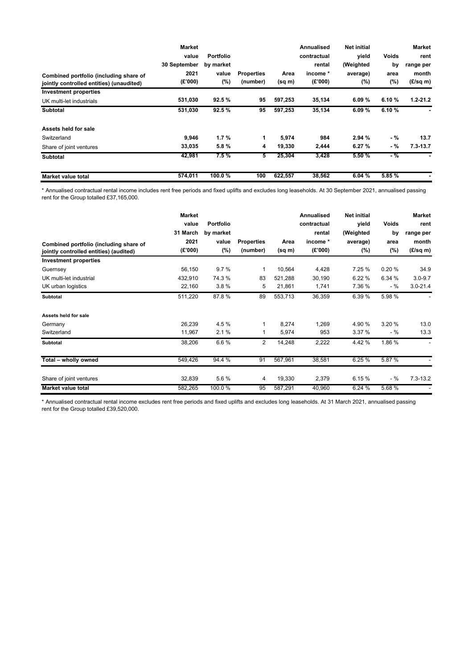|                                          | <b>Market</b>         |                  |                   |             | <b>Annualised</b> | <b>Net initial</b> |             | <b>Market</b>            |
|------------------------------------------|-----------------------|------------------|-------------------|-------------|-------------------|--------------------|-------------|--------------------------|
|                                          | value<br>30 September | <b>Portfolio</b> |                   |             | contractual       | vield              | Voids<br>by | rent                     |
|                                          |                       | by market        |                   |             | rental            | (Weighted          |             | range per                |
| Combined portfolio (including share of   | 2021                  | value            | <b>Properties</b> | Area        | income *          | average)           | area        | month                    |
| jointly controlled entities) (unaudited) | (E'000)               | (%)              | (number)          | $(sq \, m)$ | (E'000)           | $(\%)$             | (%)         | $(E/\text{sq} \text{m})$ |
| <b>Investment properties</b>             |                       |                  |                   |             |                   |                    |             |                          |
| UK multi-let industrials                 | 531,030               | 92.5%            | 95                | 597,253     | 35,134            | 6.09%              | 6.10%       | $1.2 - 21.2$             |
| <b>Subtotal</b>                          | 531,030               | 92.5%            | 95                | 597,253     | 35,134            | 6.09%              | 6.10%       |                          |
| Assets held for sale                     |                       |                  |                   |             |                   |                    |             |                          |
| Switzerland                              | 9,946                 | 1.7%             | 1                 | 5,974       | 984               | 2.94%              | $-$ %       | 13.7                     |
| Share of joint ventures                  | 33,035                | 5.8%             | 4                 | 19,330      | 2,444             | 6.27%              | - %         | $7.3 - 13.7$             |
| <b>Subtotal</b>                          | 42,981                | 7.5%             | 5                 | 25,304      | 3,428             | 5.50%              | $-$ %       |                          |
| Market value total                       | 574,011               | 100.0%           | 100               | 622,557     | 38,562            | 6.04%              | 5.85%       |                          |

\* Annualised contractual rental income includes rent free periods and fixed uplifts and excludes long leaseholds. At 30 September 2021, annualised passing rent for the Group totalled £37,165,000.

| Combined portfolio (including share of<br>jointly controlled entities) (audited) | <b>Market</b><br>value<br>31 March<br>2021<br>(E'000) | Portfolio<br>by market<br>value<br>$(\% )$ | <b>Properties</b><br>(number) | Area<br>(sq m) | <b>Annualised</b><br>contractual<br>rental<br>income *<br>(E'000) | <b>Net initial</b><br>yield<br>(Weighted<br>average)<br>(%) | Voids<br>by<br>area<br>$(\%)$ | <b>Market</b><br>rent<br>range per<br>month<br>$(E/\text{sq } m)$ |
|----------------------------------------------------------------------------------|-------------------------------------------------------|--------------------------------------------|-------------------------------|----------------|-------------------------------------------------------------------|-------------------------------------------------------------|-------------------------------|-------------------------------------------------------------------|
| <b>Investment properties</b>                                                     |                                                       |                                            |                               |                |                                                                   |                                                             |                               |                                                                   |
| Guernsey                                                                         | 56,150                                                | 9.7%                                       | 1                             | 10,564         | 4,428                                                             | 7.25 %                                                      | 0.20%                         | 34.9                                                              |
| UK multi-let industrial                                                          | 432,910                                               | 74.3 %                                     | 83                            | 521,288        | 30,190                                                            | 6.22 %                                                      | 6.34 %                        | $3.0 - 9.7$                                                       |
| UK urban logistics                                                               | 22,160                                                | 3.8%                                       | 5                             | 21,861         | 1,741                                                             | 7.36 %                                                      | - %                           | $3.0 - 21.4$                                                      |
| <b>Subtotal</b>                                                                  | 511,220                                               | 87.8%                                      | 89                            | 553,713        | 36,359                                                            | 6.39%                                                       | 5.98 %                        |                                                                   |
| Assets held for sale                                                             |                                                       |                                            |                               |                |                                                                   |                                                             |                               |                                                                   |
| Germany                                                                          | 26,239                                                | 4.5%                                       | 1                             | 8,274          | 1,269                                                             | 4.90 %                                                      | 3.20 %                        | 13.0                                                              |
| Switzerland                                                                      | 11,967                                                | 2.1%                                       | 1                             | 5,974          | 953                                                               | 3.37%                                                       | - %                           | 13.3                                                              |
| <b>Subtotal</b>                                                                  | 38,206                                                | 6.6%                                       | $\overline{2}$                | 14,248         | 2,222                                                             | 4.42%                                                       | 1.86 %                        | $\overline{\phantom{a}}$                                          |
| Total - wholly owned                                                             | 549,426                                               | 94.4 %                                     | 91                            | 567,961        | 38,581                                                            | 6.25%                                                       | 5.87 %                        |                                                                   |
| Share of joint ventures                                                          | 32,839                                                | 5.6%                                       | 4                             | 19,330         | 2,379                                                             | 6.15%                                                       | - %                           | $7.3 - 13.2$                                                      |
| <b>Market value total</b>                                                        | 582,265                                               | 100.0%                                     | 95                            | 587,291        | 40,960                                                            | 6.24%                                                       | 5.68%                         |                                                                   |

\* Annualised contractual rental income excludes rent free periods and fixed uplifts and excludes long leaseholds. At 31 March 2021, annualised passing rent for the Group totalled £39,520,000.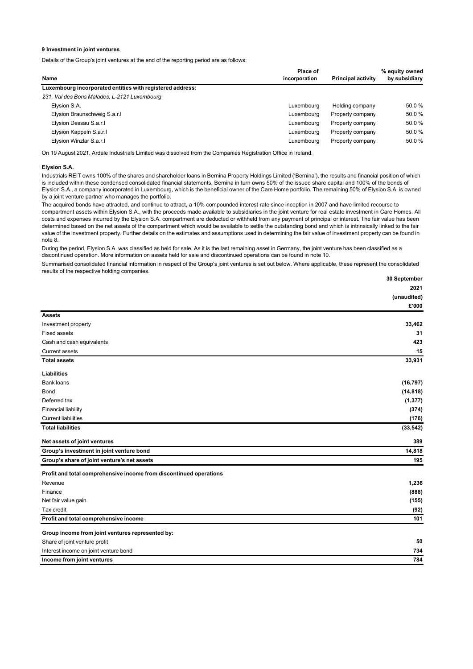## **9 Investment in joint ventures**

Details of the Group's joint ventures at the end of the reporting period are as follows:

|                                                           | Place of      |                           | % equity owned |  |
|-----------------------------------------------------------|---------------|---------------------------|----------------|--|
| Name                                                      | incorporation | <b>Principal activity</b> | by subsidiary  |  |
| Luxembourg incorporated entities with registered address: |               |                           |                |  |
| 231, Val des Bons Malades, L-2121 Luxembourg              |               |                           |                |  |
| Elysion S.A.                                              | Luxembourg    | Holding company           | 50.0%          |  |
| Elysion Braunschweig S.a.r.l                              | Luxembourg    | Property company          | 50.0%          |  |
| Elysion Dessau S.a.r.l                                    | Luxembourg    | Property company          | 50.0%          |  |
| Elysion Kappeln S.a.r.I                                   | Luxemboura    | Property company          | 50.0%          |  |
| Elysion Winzlar S.a.r.I                                   | Luxemboura    | Property company          | 50.0%          |  |

On 19 August 2021, Ardale Industrials Limited was dissolved from the Companies Registration Office in Ireland.

## **Elysion S.A.**

Industrials REIT owns 100% of the shares and shareholder loans in Bernina Property Holdings Limited ('Bernina'), the results and financial position of which is included within these condensed consolidated financial statements. Bernina in turn owns 50% of the issued share capital and 100% of the bonds of Elysion S.A., a company incorporated in Luxembourg, which is the beneficial owner of the Care Home portfolio. The remaining 50% of Elysion S.A. is owned by a joint venture partner who manages the portfolio.

The acquired bonds have attracted, and continue to attract, a 10% compounded interest rate since inception in 2007 and have limited recourse to compartment assets within Elysion S.A., with the proceeds made available to subsidiaries in the joint venture for real estate investment in Care Homes. All costs and expenses incurred by the Elysion S.A. compartment are deducted or withheld from any payment of principal or interest. The fair value has been determined based on the net assets of the compartment which would be available to settle the outstanding bond and which is intrinsically linked to the fair value of the investment property. Further details on the estimates and assumptions used in determining the fair value of investment property can be found in note 8.

During the period, Elysion S.A. was classified as held for sale. As it is the last remaining asset in Germany, the joint venture has been classified as a discontinued operation. More information on assets held for sale and discontinued operations can be found in note 10.

Summarised consolidated financial information in respect of the Group's joint ventures is set out below. Where applicable, these represent the consolidated results of the respective holding companies.

|                                                                    | 30 September |
|--------------------------------------------------------------------|--------------|
|                                                                    | 2021         |
|                                                                    | (unaudited)  |
|                                                                    | £'000        |
| <b>Assets</b>                                                      |              |
| Investment property                                                | 33,462       |
| <b>Fixed assets</b>                                                | 31           |
| Cash and cash equivalents                                          | 423          |
| <b>Current assets</b>                                              | 15           |
| <b>Total assets</b>                                                | 33,931       |
| Liabilities                                                        |              |
| Bank loans                                                         | (16, 797)    |
| Bond                                                               | (14, 818)    |
| Deferred tax                                                       | (1, 377)     |
| <b>Financial liability</b>                                         | (374)        |
| <b>Current liabilities</b>                                         | (176)        |
| <b>Total liabilities</b>                                           | (33, 542)    |
| Net assets of joint ventures                                       | 389          |
| Group's investment in joint venture bond                           | 14,818       |
| Group's share of joint venture's net assets                        | 195          |
| Profit and total comprehensive income from discontinued operations |              |
| Revenue                                                            | 1,236        |
| Finance                                                            | (888)        |
| Net fair value gain                                                | (155)        |
| Tax credit                                                         | (92)         |
| Profit and total comprehensive income                              | 101          |
| Group income from joint ventures represented by:                   |              |
| Share of joint venture profit                                      | 50           |
| Interest income on joint venture bond                              | 734          |
| Income from joint ventures                                         | 784          |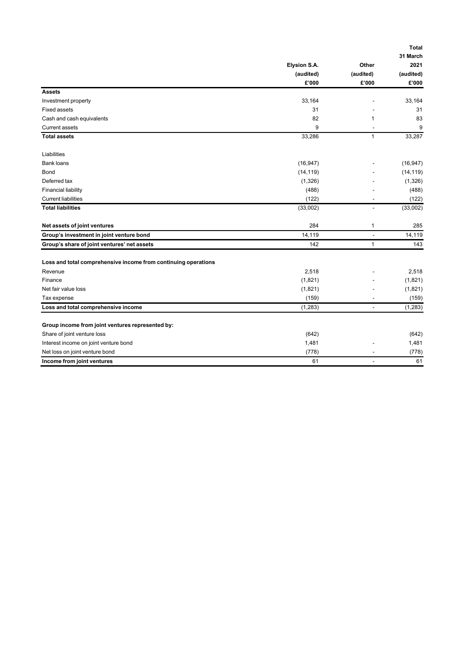|                                                                |                    |                          | <b>Total</b>       |
|----------------------------------------------------------------|--------------------|--------------------------|--------------------|
|                                                                |                    |                          | 31 March           |
|                                                                | Elysion S.A.       | Other                    | 2021               |
|                                                                | (audited)<br>£'000 | (audited)<br>£'000       | (audited)<br>£'000 |
| <b>Assets</b>                                                  |                    |                          |                    |
| Investment property                                            | 33,164             |                          | 33,164             |
| <b>Fixed assets</b>                                            | 31                 |                          | 31                 |
| Cash and cash equivalents                                      | 82                 | $\mathbf{1}$             | 83                 |
| <b>Current assets</b>                                          | 9                  |                          | 9                  |
| <b>Total assets</b>                                            | 33,286             | $\mathbf{1}$             | 33,287             |
|                                                                |                    |                          |                    |
| Liabilities                                                    |                    |                          |                    |
| <b>Bank loans</b>                                              | (16, 947)          |                          | (16, 947)          |
| Bond                                                           | (14, 119)          |                          | (14, 119)          |
| Deferred tax                                                   | (1, 326)           |                          | (1, 326)           |
| <b>Financial liability</b>                                     | (488)              |                          | (488)              |
| <b>Current liabilities</b>                                     | (122)              |                          | (122)              |
| <b>Total liabilities</b>                                       | (33,002)           |                          | (33,002)           |
| Net assets of joint ventures                                   | 284                | 1                        | 285                |
| Group's investment in joint venture bond                       | 14,119             | $\overline{\phantom{0}}$ | 14,119             |
| Group's share of joint ventures' net assets                    | 142                | $\mathbf{1}$             | 143                |
| Loss and total comprehensive income from continuing operations |                    |                          |                    |
| Revenue                                                        | 2,518              |                          | 2,518              |
| Finance                                                        | (1,821)            |                          | (1,821)            |
| Net fair value loss                                            | (1,821)            |                          | (1,821)            |
| Tax expense                                                    | (159)              |                          | (159)              |
| Loss and total comprehensive income                            | (1, 283)           | ٠                        | (1, 283)           |
|                                                                |                    |                          |                    |
| Group income from joint ventures represented by:               |                    |                          |                    |
| Share of joint venture loss                                    | (642)              |                          | (642)              |
| Interest income on joint venture bond                          | 1,481              |                          | 1,481              |
| Net loss on joint venture bond                                 | (778)              |                          | (778)              |
| Income from joint ventures                                     | 61                 |                          | 61                 |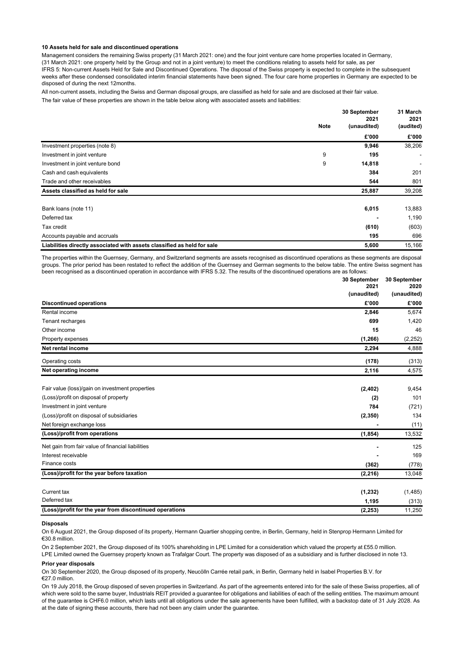## **10 Assets held for sale and discontinued operations**

Management considers the remaining Swiss property (31 March 2021: one) and the four joint venture care home properties located in Germany, (31 March 2021: one property held by the Group and not in a joint venture) to meet the conditions relating to assets held for sale, as per IFRS 5: Non-current Assets Held for Sale and Discontinued Operations. The disposal of the Swiss property is expected to complete in the subsequent weeks after these condensed consolidated interim financial statements have been signed. The four care home properties in Germany are expected to be disposed of during the next 12 months.

All non-current assets, including the Swiss and German disposal groups, are classified as held for sale and are disclosed at their fair value. The fair value of these properties are shown in the table below along with associated assets and liabilities:

|                                                                         | <b>Note</b> | 30 September<br>2021<br>(unaudited) | 31 March<br>2021<br>(audited) |
|-------------------------------------------------------------------------|-------------|-------------------------------------|-------------------------------|
|                                                                         |             | £'000                               | £'000                         |
| Investment properties (note 8)                                          |             | 9,946                               | 38,206                        |
| Investment in joint venture                                             | 9           | 195                                 | ۰                             |
| Investment in joint venture bond                                        | 9           | 14,818                              |                               |
| Cash and cash equivalents                                               |             | 384                                 | 201                           |
| Trade and other receivables                                             |             | 544                                 | 801                           |
| Assets classified as held for sale                                      |             | 25,887                              | 39,208                        |
| Bank loans (note 11)                                                    |             | 6,015                               | 13,883                        |
| Deferred tax                                                            |             |                                     | 1,190                         |
| Tax credit                                                              |             | (610)                               | (603)                         |
| Accounts payable and accruals                                           |             | 195                                 | 696                           |
| Liabilities directly associated with assets classified as held for sale |             | 5,600                               | 15,166                        |

The properties within the Guernsey, Germany, and Switzerland segments are assets recognised as discontinued operations as these segments are disposal groups. The prior period has been restated to reflect the addition of the Guernsey and German segments to the below table. The entire Swiss segment has been recognised as a discontinued operation in accordance with IFRS 5.32. The results of the discontinued operations are as follows:

|                                                         | 30 September | 30 September |  |
|---------------------------------------------------------|--------------|--------------|--|
|                                                         | 2021         | 2020         |  |
|                                                         | (unaudited)  | (unaudited)  |  |
| <b>Discontinued operations</b>                          | £'000        | £'000        |  |
| Rental income                                           | 2,846        | 5,674        |  |
| Tenant recharges                                        | 699          | 1,420        |  |
| Other income                                            | 15           | 46           |  |
| Property expenses                                       | (1, 266)     | (2, 252)     |  |
| Net rental income                                       | 2,294        | 4,888        |  |
| Operating costs                                         | (178)        | (313)        |  |
| Net operating income                                    | 2,116        | 4,575        |  |
| Fair value (loss)/gain on investment properties         | (2, 402)     | 9,454        |  |
| (Loss)/profit on disposal of property                   | (2)          | 101          |  |
| Investment in joint venture                             | 784          | (721)        |  |
| (Loss)/profit on disposal of subsidiaries               | (2, 350)     | 134          |  |
| Net foreign exchange loss                               |              | (11)         |  |
| (Loss)/profit from operations                           | (1, 854)     | 13,532       |  |
| Net gain from fair value of financial liabilities       |              | 125          |  |
| Interest receivable                                     |              | 169          |  |
| Finance costs                                           | (362)        | (778)        |  |
| (Loss)/profit for the year before taxation              | (2, 216)     | 13,048       |  |
| Current tax                                             | (1, 232)     | (1,485)      |  |
| Deferred tax                                            | 1,195        | (313)        |  |
| (Loss)/profit for the year from discontinued operations | (2, 253)     | 11,250       |  |
|                                                         |              |              |  |

#### **Disposals**

On 6 August 2021, the Group disposed of its property, Hermann Quartier shopping centre, in Berlin, Germany, held in Stenprop Hermann Limited for €30.8 million.

On 2 September 2021, the Group disposed of its 100% shareholding in LPE Limited for a consideration which valued the property at £55.0 million. LPE Limited owned the Guernsey property known as Trafalgar Court. The property was disposed of as a subsidiary and is further disclosed in note 13.

### **Prior year disposals**

On 30 September 2020, the Group disposed of its property, Neucölln Carrée retail park, in Berlin, Germany held in Isabel Properties B.V. for €27.0 million.

On 19 July 2018, the Group disposed of seven properties in Switzerland. As part of the agreements entered into for the sale of these Swiss properties, all of which were sold to the same buyer, Industrials REIT provided a quarantee for obligations and liabilities of each of the selling entities. The maximum amount of the guarantee is CHF6.0 million, which lasts until all obligations under the sale agreements have been fulfilled, with a backstop date of 31 July 2028. As at the date of signing these accounts, there had not been any claim under the guarantee.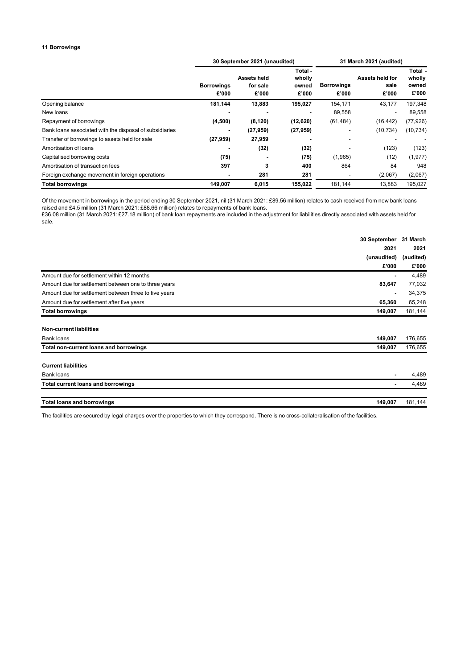## **11 Borrowings**

|                                                         | 30 September 2021 (unaudited) |                                  |                                     | 31 March 2021 (audited)    |                                  |                                     |
|---------------------------------------------------------|-------------------------------|----------------------------------|-------------------------------------|----------------------------|----------------------------------|-------------------------------------|
|                                                         | <b>Borrowings</b><br>£'000    | Assets held<br>for sale<br>£'000 | Total -<br>wholly<br>owned<br>£'000 | <b>Borrowings</b><br>£'000 | Assets held for<br>sale<br>£'000 | Total -<br>wholly<br>owned<br>£'000 |
| Opening balance                                         | 181,144                       | 13,883                           | 195,027                             | 154,171                    | 43,177                           | 197,348                             |
| New loans                                               |                               |                                  |                                     | 89,558                     | $\blacksquare$                   | 89,558                              |
| Repayment of borrowings                                 | (4,500)                       | (8, 120)                         | (12, 620)                           | (61, 484)                  | (16, 442)                        | (77, 926)                           |
| Bank loans associated with the disposal of subsidiaries | $\overline{\phantom{a}}$      | (27, 959)                        | (27, 959)                           |                            | (10, 734)                        | (10, 734)                           |
| Transfer of borrowings to assets held for sale          | (27, 959)                     | 27,959                           |                                     |                            |                                  |                                     |
| Amortisation of loans                                   |                               | (32)                             | (32)                                |                            | (123)                            | (123)                               |
| Capitalised borrowing costs                             | (75)                          |                                  | (75)                                | (1,965)                    | (12)                             | (1, 977)                            |
| Amortisation of transaction fees                        | 397                           | 3                                | 400                                 | 864                        | 84                               | 948                                 |
| Foreign exchange movement in foreign operations         | $\overline{\phantom{a}}$      | 281                              | 281                                 |                            | (2,067)                          | (2,067)                             |
| <b>Total borrowings</b>                                 | 149,007                       | 6,015                            | 155,022                             | 181,144                    | 13,883                           | 195.027                             |

Of the movement in borrowings in the period ending 30 September 2021, nil (31 March 2021: £89.56 million) relates to cash received from new bank loans raised and £4.5 million (31 March 2021: £88.66 million) relates to repayments of bank loans.

£36.08 million (31 March 2021: £27.18 million) of bank loan repayments are included in the adjustment for liabilities directly associated with assets held for sale.

|                                                       | 30 September<br>31 March<br>2021<br>(unaudited)<br>(audited) |         |
|-------------------------------------------------------|--------------------------------------------------------------|---------|
|                                                       |                                                              |         |
|                                                       |                                                              |         |
|                                                       | £'000                                                        | £'000   |
| Amount due for settlement within 12 months            | ٠                                                            | 4,489   |
| Amount due for settlement between one to three years  | 83,647                                                       | 77,032  |
| Amount due for settlement between three to five years | $\blacksquare$                                               | 34,375  |
| Amount due for settlement after five years            | 65,360                                                       | 65,248  |
| <b>Total borrowings</b>                               | 149,007                                                      | 181,144 |
|                                                       |                                                              |         |
| <b>Non-current liabilities</b>                        |                                                              |         |
| Bank loans                                            | 149,007                                                      | 176,655 |
| Total non-current loans and borrowings                | 149,007                                                      | 176,655 |
| <b>Current liabilities</b>                            |                                                              |         |
| Bank loans                                            | ٠                                                            | 4,489   |
| <b>Total current loans and borrowings</b>             | ٠                                                            | 4,489   |
| <b>Total loans and borrowings</b>                     | 149,007                                                      | 181,144 |

The facilities are secured by legal charges over the properties to which they correspond. There is no cross-collateralisation of the facilities.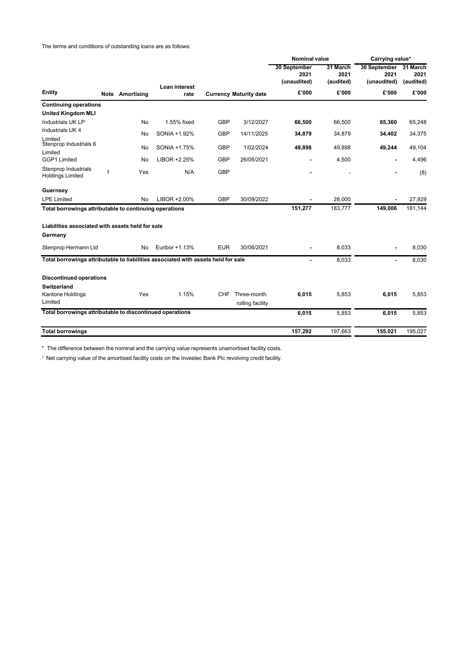The terms and conditions of outstanding loans are as follows:

|                                                                                   |   |                 |                |            |                                 | <b>Nominal value</b>                |                               | Carrying value*                     |                               |
|-----------------------------------------------------------------------------------|---|-----------------|----------------|------------|---------------------------------|-------------------------------------|-------------------------------|-------------------------------------|-------------------------------|
|                                                                                   |   |                 | Loan interest  |            |                                 | 30 September<br>2021<br>(unaudited) | 31 March<br>2021<br>(audited) | 30 September<br>2021<br>(unaudited) | 31 March<br>2021<br>(audited) |
| <b>Entity</b>                                                                     |   | Note Amortising | rate           |            | <b>Currency Maturity date</b>   | £'000                               | £'000                         | £'000                               | £'000                         |
| <b>Continuing operations</b>                                                      |   |                 |                |            |                                 |                                     |                               |                                     |                               |
| <b>United Kingdom MLI</b>                                                         |   |                 |                |            |                                 |                                     |                               |                                     |                               |
| Industrials UK LP                                                                 |   | No.             | 1.55% fixed    | <b>GBP</b> | 3/12/2027                       | 66,500                              | 66,500                        | 65,360                              | 65,248                        |
| Industrials UK 4                                                                  |   | No              | SONIA +1.92%   | <b>GBP</b> | 14/11/2025                      | 34,879                              | 34,879                        | 34,402                              | 34,375                        |
| Limited<br>Stenprop Industrials 6                                                 |   | No              | SONIA +1.75%   | <b>GBP</b> | 1/02/2024                       | 49,898                              | 49,898                        | 49,244                              | 49,104                        |
| Limited<br>GGP1 Limited                                                           |   | No              | LIBOR +2.25%   | <b>GBP</b> | 26/05/2021                      |                                     | 4,500                         |                                     | 4,496                         |
| Stenprop Industrials<br><b>Holdings Limited</b>                                   | 1 | Yes             | N/A            | <b>GBP</b> |                                 |                                     |                               |                                     | (8)                           |
| Guernsey                                                                          |   |                 |                |            |                                 |                                     |                               |                                     |                               |
| <b>LPE Limited</b>                                                                |   | No              | LIBOR +2.00%   | GBP        | 30/09/2022                      |                                     | 28.000                        |                                     | 27,929                        |
| Total borrowings attributable to continuing operations                            |   |                 |                |            |                                 | 151,277                             | 183,777                       | 149,006                             | 181,144                       |
| Liabilities associated with assets held for sale<br>Germany                       |   |                 |                |            |                                 |                                     |                               |                                     |                               |
| Stenprop Hermann Ltd                                                              |   | No              | Euribor +1.13% | <b>EUR</b> | 30/06/2021                      |                                     | 8,033                         |                                     | 8,030                         |
| Total borrowings attributable to liabilities associated with assets held for sale |   |                 |                |            |                                 |                                     | 8,033                         | $\blacksquare$                      | 8,030                         |
| <b>Discontinued operations</b>                                                    |   |                 |                |            |                                 |                                     |                               |                                     |                               |
| <b>Switzerland</b>                                                                |   |                 |                |            |                                 |                                     |                               |                                     |                               |
| Kantone Holdings<br>Limited                                                       |   | Yes             | 1.15%          | CHF        | Three-month<br>rolling facility | 6,015                               | 5,853                         | 6,015                               | 5,853                         |
| Total borrowings attributable to discontinued operations                          |   |                 |                |            |                                 | 6,015                               | 5,853                         | 6,015                               | 5.853                         |
| <b>Total borrowings</b>                                                           |   |                 |                |            |                                 | 157,292                             | 197,663                       | 155,021                             | 195,027                       |

\* The difference between the nominal and the carrying value represents unamortised facility costs.

1. Net carrying value of the amortised facility costs on the Investec Bank Plc revolving credit facility.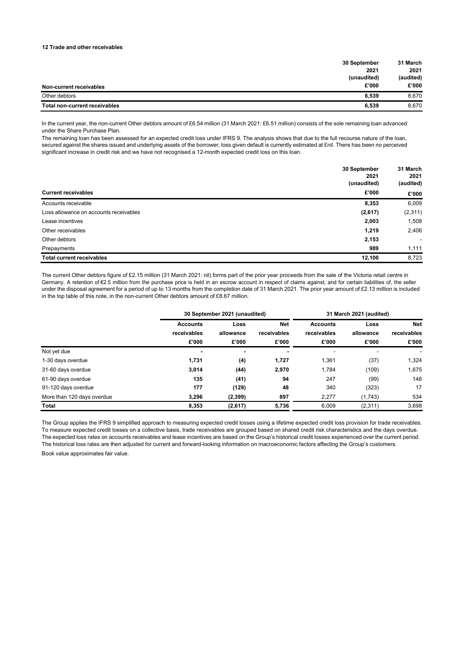## **12 Trade and other receivables**

| 30 September                           | 31 March  |
|----------------------------------------|-----------|
| 2021                                   | 2021      |
| (unaudited)                            | (audited) |
| £'000<br>Non-current receivables       | £'000     |
| Other debtors<br>6.539                 | 8.670     |
| Total non-current receivables<br>6,539 | 8.670     |

In the current year, the non-current Other debtors amount of £6.54 million (31 March 2021: £6.51 million) consists of the sole remaining loan advanced under the Share Purchase Plan.

The remaining loan has been assessed for an expected credit loss under IFRS 9. The analysis shows that due to the full recourse nature of the loan, secured against the shares issued and underlying assets of the borrower, loss given default is currently estimated at £nil. There has been no perceived significant increase in credit risk and we have not recognised a 12-month expected credit loss on this loan.

|                                        | 30 September<br>2021 | 31 March<br>2021         |  |
|----------------------------------------|----------------------|--------------------------|--|
|                                        | (unaudited)          | (audited)                |  |
| <b>Current receivables</b>             | £'000                | £'000                    |  |
| Accounts receivable                    | 8,353                | 6,009                    |  |
| Loss allowance on accounts receivables | (2,617)              | (2, 311)                 |  |
| Lease incentives                       | 2,003                | 1,508                    |  |
| Other receivables                      | 1,219                | 2,406                    |  |
| Other debtors                          | 2,153                | $\overline{\phantom{a}}$ |  |
| Prepayments                            | 989                  | 1,111                    |  |
| <b>Total current receivables</b>       | 12,100               | 8,723                    |  |

The current Other debtors figure of £2.15 million (31 March 2021: nil) forms part of the prior year proceeds from the sale of the Victoria retail centre in Germany. A retention of €2.5 million from the purchase price is held in an escrow account in respect of claims against, and for certain liabilities of, the seller under the disposal agreement for a period of up to 13 months from the completion date of 31 March 2021. The prior year amount of £2.13 million is included in the top table of this note, in the non-current Other debtors amount of £8.67 million.

|                            |                          | 30 September 2021 (unaudited) |                |                          | 31 March 2021 (audited) |             |
|----------------------------|--------------------------|-------------------------------|----------------|--------------------------|-------------------------|-------------|
|                            | <b>Accounts</b>          | <b>Net</b><br>Loss            |                | <b>Accounts</b>          | Loss                    | <b>Net</b>  |
|                            | receivables              | allowance                     | receivables    | receivables              | allowance               | receivables |
|                            | £'000                    | £'000                         | £'000          | £'000                    | £'000                   | £'000       |
| Not yet due                | $\overline{\phantom{0}}$ | $\blacksquare$                | $\blacksquare$ | $\overline{\phantom{a}}$ |                         |             |
| 1-30 days overdue          | 1,731                    | (4)                           | 1,727          | 1,361                    | (37)                    | 1,324       |
| 31-60 days overdue         | 3.014                    | (44)                          | 2,970          | 1.784                    | (109)                   | 1,675       |
| 61-90 days overdue         | 135                      | (41)                          | 94             | 247                      | (99)                    | 148         |
| 91-120 days overdue        | 177                      | (129)                         | 48             | 340                      | (323)                   | 17          |
| More than 120 days overdue | 3.296                    | (2, 399)                      | 897            | 2.277                    | (1,743)                 | 534         |
| <b>Total</b>               | 8,353                    | (2,617)                       | 5,736          | 6.009                    | (2, 311)                | 3,698       |

The Group applies the IFRS 9 simplified approach to measuring expected credit losses using a lifetime expected credit loss provision for trade receivables. To measure expected credit losses on a collective basis, trade receivables are grouped based on shared credit risk characteristics and the days overdue. The expected loss rates on accounts receivables and lease incentives are based on the Group's historical credit losses experienced over the current period. The historical loss rates are then adjusted for current and forward-looking information on macroeconomic factors affecting the Group's customers. Book value approximates fair value.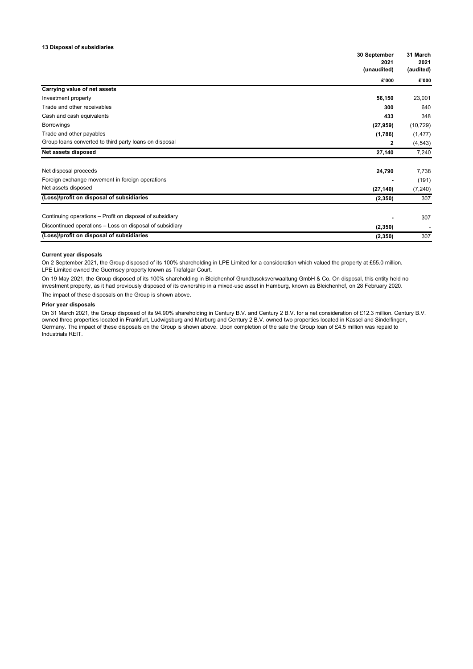## **13 Disposal of subsidiaries**

|                                                          | 30 September<br>2021 |                   |
|----------------------------------------------------------|----------------------|-------------------|
|                                                          | (unaudited)          | 2021<br>(audited) |
|                                                          | £'000                | £'000             |
| Carrying value of net assets                             |                      |                   |
| Investment property                                      | 56,150               | 23,001            |
| Trade and other receivables                              | 300                  | 640               |
| Cash and cash equivalents                                | 433                  | 348               |
| Borrowings                                               | (27, 959)            | (10, 729)         |
| Trade and other payables                                 | (1,786)              | (1, 477)          |
| Group loans converted to third party loans on disposal   | $\mathbf{2}$         | (4, 543)          |
| Net assets disposed                                      | 27,140               | 7,240             |
| Net disposal proceeds                                    | 24,790               | 7,738             |
| Foreign exchange movement in foreign operations          |                      | (191)             |
| Net assets disposed                                      | (27, 140)            | (7, 240)          |
| (Loss)/profit on disposal of subsidiaries                | (2, 350)             | 307               |
| Continuing operations - Profit on disposal of subsidiary |                      | 307               |
| Discontinued operations - Loss on disposal of subsidiary | (2, 350)             |                   |
| (Loss)/profit on disposal of subsidiaries                | (2, 350)             | 307               |

### **Current year disposals**

On 2 September 2021, the Group disposed of its 100% shareholding in LPE Limited for a consideration which valued the property at £55.0 million. LPE Limited owned the Guernsey property known as Trafalgar Court.

On 19 May 2021, the Group disposed of its 100% shareholding in Bleichenhof Grundtuscksverwaaltung GmbH & Co. On disposal, this entity held no investment property, as it had previously disposed of its ownership in a mixed-use asset in Hamburg, known as Bleichenhof, on 28 February 2020. The impact of these disposals on the Group is shown above.

### **Prior year disposals**

On 31 March 2021, the Group disposed of its 94.90% shareholding in Century B.V. and Century 2 B.V. for a net consideration of £12.3 million. Century B.V. owned three properties located in Frankfurt, Ludwigsburg and Marburg and Century 2 B.V. owned two properties located in Kassel and Sindelfingen, Germany. The impact of these disposals on the Group is shown above. Upon completion of the sale the Group loan of £4.5 million was repaid to Industrials REIT.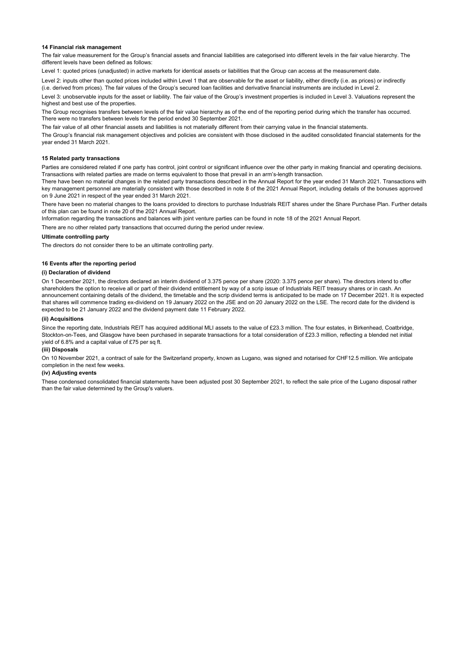### **14 Financial risk management**

The fair value measurement for the Group's financial assets and financial liabilities are categorised into different levels in the fair value hierarchy. The different levels have been defined as follows:

Level 1: quoted prices (unadjusted) in active markets for identical assets or liabilities that the Group can access at the measurement date.

Level 2: inputs other than quoted prices included within Level 1 that are observable for the asset or liability, either directly (i.e. as prices) or indirectly (i.e. derived from prices). The fair values of the Group's secured loan facilities and derivative financial instruments are included in Level 2.

Level 3: unobservable inputs for the asset or liability. The fair value of the Group's investment properties is included in Level 3. Valuations represent the highest and best use of the properties.

The Group recognises transfers between levels of the fair value hierarchy as of the end of the reporting period during which the transfer has occurred. There were no transfers between levels for the period ended 30 September 2021.

The fair value of all other financial assets and liabilities is not materially different from their carrying value in the financial statements.

The Group's financial risk management objectives and policies are consistent with those disclosed in the audited consolidated financial statements for the year ended 31 March 2021.

#### **15 Related party transactions**

Parties are considered related if one party has control, joint control or significant influence over the other party in making financial and operating decisions. Transactions with related parties are made on terms equivalent to those that prevail in an arm's-length transaction.

There have been no material changes in the related party transactions described in the Annual Report for the year ended 31 March 2021. Transactions with key management personnel are materially consistent with those described in note 8 of the 2021 Annual Report, including details of the bonuses approved on 9 June 2021 in respect of the year ended 31 March 2021.

There have been no material changes to the loans provided to directors to purchase Industrials REIT shares under the Share Purchase Plan. Further details of this plan can be found in note 20 of the 2021 Annual Report.

Information regarding the transactions and balances with joint venture parties can be found in note 18 of the 2021 Annual Report.

There are no other related party transactions that occurred during the period under review.

### **Ultimate controlling party**

The directors do not consider there to be an ultimate controlling party.

### **16 Events after the reporting period**

## **(i) Declaration of dividend**

On 1 December 2021, the directors declared an interim dividend of 3.375 pence per share (2020: 3.375 pence per share). The directors intend to offer shareholders the option to receive all or part of their dividend entitlement by way of a scrip issue of Industrials REIT treasury shares or in cash. An announcement containing details of the dividend, the timetable and the scrip dividend terms is anticipated to be made on 17 December 2021. It is expected that shares will commence trading ex-dividend on 19 January 2022 on the JSE and on 20 January 2022 on the LSE. The record date for the dividend is expected to be 21 January 2022 and the dividend payment date 11 February 2022.

## **(ii) Acquisitions**

Since the reporting date, Industrials REIT has acquired additional MLI assets to the value of £23.3 million. The four estates, in Birkenhead, Coatbridge, Stockton-on-Tees, and Glasgow have been purchased in separate transactions for a total consideration of £23.3 million, reflecting a blended net initial yield of 6.8% and a capital value of £75 per sq ft.

#### **(iii) Disposals**

On 10 November 2021, a contract of sale for the Switzerland property, known as Lugano, was signed and notarised for CHF12.5 million. We anticipate completion in the next few weeks.

### **(iv) Adjusting events**

These condensed consolidated financial statements have been adjusted post 30 September 2021, to reflect the sale price of the Lugano disposal rather than the fair value determined by the Group's valuers.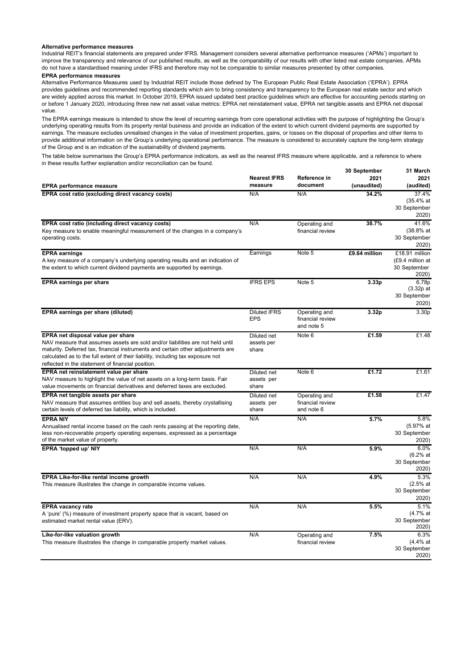## **Alternative performance measures**

Industrial REIT's financial statements are prepared under IFRS. Management considers several alternative performance measures ('APMs') important to improve the transparency and relevance of our published results, as well as the comparability of our results with other listed real estate companies. APMs do not have a standardised meaning under IFRS and therefore may not be comparable to similar measures presented by other companies.

## **EPRA performance measures**

Alternative Performance Measures used by Industrial REIT include those defined by The European Public Real Estate Association ('EPRA'). EPRA provides guidelines and recommended reporting standards which aim to bring consistency and transparency to the European real estate sector and which are widely applied across this market. In October 2019, EPRA issued updated best practice guidelines which are effective for accounting periods starting on or before 1 January 2020, introducing three new net asset value metrics: EPRA net reinstatement value, EPRA net tangible assets and EPRA net disposal value.

The EPRA earnings measure is intended to show the level of recurring earnings from core operational activities with the purpose of highlighting the Group's underlying operating results from its property rental business and provide an indication of the extent to which current dividend payments are supported by earnings. The measure excludes unrealised changes in the value of investment properties, gains, or losses on the disposal of properties and other items to provide additional information on the Group's underlying operational performance. The measure is considered to accurately capture the long-term strategy of the Group and is an indication of the sustainability of dividend payments.

The table below summarises the Group's EPRA performance indicators, as well as the nearest IFRS measure where applicable, and a reference to where in these results further explanation and/or reconciliation can be found.

|                                                                                                                                                                   | <b>Nearest IFRS</b> | Reference in                   | 30 September<br>2021 | 31 March<br>2021      |
|-------------------------------------------------------------------------------------------------------------------------------------------------------------------|---------------------|--------------------------------|----------------------|-----------------------|
| <b>EPRA</b> performance measure                                                                                                                                   | measure             | document                       | (unaudited)          | (audited)             |
| EPRA cost ratio (excluding direct vacancy costs)                                                                                                                  | N/A                 | N/A                            | 34.2%                | 37.4%<br>(35.4% at    |
|                                                                                                                                                                   |                     |                                |                      | 30 September          |
|                                                                                                                                                                   |                     |                                |                      | 2020)                 |
| EPRA cost ratio (including direct vacancy costs)                                                                                                                  | N/A                 | Operating and                  | 38.7%                | 41.6%                 |
| Key measure to enable meaningful measurement of the changes in a company's                                                                                        |                     | financial review               |                      | (38.8% at             |
| operating costs.                                                                                                                                                  |                     |                                |                      | 30 September          |
|                                                                                                                                                                   |                     |                                |                      | 2020)                 |
| <b>EPRA earnings</b>                                                                                                                                              | Earnings            | Note 5                         | £9.64 million        | £18.91 million        |
| A key measure of a company's underlying operating results and an indication of                                                                                    |                     |                                |                      | (£9.4 million at      |
| the extent to which current dividend payments are supported by earnings.                                                                                          |                     |                                |                      | 30 September          |
|                                                                                                                                                                   |                     |                                |                      | 2020)                 |
| <b>EPRA earnings per share</b>                                                                                                                                    | <b>IFRS EPS</b>     | Note 5                         | 3.33 <sub>p</sub>    | 6.78p                 |
|                                                                                                                                                                   |                     |                                |                      | $(3.32p$ at           |
|                                                                                                                                                                   |                     |                                |                      | 30 September          |
|                                                                                                                                                                   |                     |                                |                      | 2020)                 |
| EPRA earnings per share (diluted)                                                                                                                                 | <b>Diluted IFRS</b> | Operating and                  | 3.32p                | 3.30p                 |
|                                                                                                                                                                   | <b>EPS</b>          | financial review<br>and note 5 |                      |                       |
|                                                                                                                                                                   |                     |                                |                      |                       |
| EPRA net disposal value per share                                                                                                                                 | Diluted net         | Note 6                         | £1.59                | £1.48                 |
| NAV measure that assumes assets are sold and/or liabilities are not held until<br>maturity. Deferred tax, financial instruments and certain other adjustments are | assets per          |                                |                      |                       |
| calculated as to the full extent of their liability, including tax exposure not                                                                                   | share               |                                |                      |                       |
| reflected in the statement of financial position.                                                                                                                 |                     |                                |                      |                       |
| EPRA net reinstatement value per share                                                                                                                            | Diluted net         | Note 6                         | £1.72                | £1.61                 |
| NAV measure to highlight the value of net assets on a long-term basis. Fair                                                                                       | assets per          |                                |                      |                       |
| value movements on financial derivatives and deferred taxes are excluded.                                                                                         | share               |                                |                      |                       |
| EPRA net tangible assets per share                                                                                                                                | Diluted net         | Operating and                  | £1.58                | £1.47                 |
| NAV measure that assumes entities buy and sell assets, thereby crystallising                                                                                      | assets per          | financial review               |                      |                       |
| certain levels of deferred tax liability, which is included.                                                                                                      | share               | and note 6                     |                      |                       |
| <b>EPRA NIY</b>                                                                                                                                                   | N/A                 | N/A                            | 5.7%                 | 5.8%                  |
| Annualised rental income based on the cash rents passing at the reporting date,                                                                                   |                     |                                |                      | (5.97% at             |
| less non-recoverable property operating expenses, expressed as a percentage                                                                                       |                     |                                |                      | 30 September          |
| of the market value of property.                                                                                                                                  |                     |                                |                      | 2020)                 |
| EPRA 'topped up' NIY                                                                                                                                              | N/A                 | N/A                            | 5.9%                 | 6.0%                  |
|                                                                                                                                                                   |                     |                                |                      | (6.2% at              |
|                                                                                                                                                                   |                     |                                |                      | 30 September          |
|                                                                                                                                                                   |                     |                                |                      | 2020)                 |
| EPRA Like-for-like rental income growth                                                                                                                           | N/A                 | N/A                            | 4.9%                 | 5.3%                  |
| This measure illustrates the change in comparable income values.                                                                                                  |                     |                                |                      | (2.5% at              |
|                                                                                                                                                                   |                     |                                |                      | 30 September          |
|                                                                                                                                                                   |                     |                                |                      | 2020)                 |
| <b>EPRA vacancy rate</b>                                                                                                                                          | N/A                 | N/A                            | 5.5%                 | 5.1%                  |
| A 'pure' (%) measure of investment property space that is vacant, based on                                                                                        |                     |                                |                      | (4.7% at              |
| estimated market rental value (ERV).                                                                                                                              |                     |                                |                      | 30 September<br>2020) |
| Like-for-like valuation growth                                                                                                                                    | N/A                 | Operating and                  | 7.5%                 | 6.3%                  |
| This measure illustrates the change in comparable property market values.                                                                                         |                     | financial review               |                      | (4.4% at              |
|                                                                                                                                                                   |                     |                                |                      | 30 September          |
|                                                                                                                                                                   |                     |                                |                      | 2020)                 |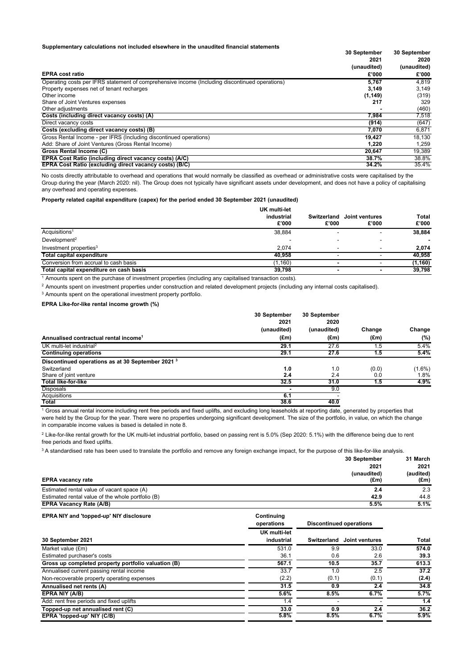## **Supplementary calculations not included elsewhere in the unaudited financial statements**

| Supplementary calculations not included elsewhere in the unaudited financial statements        |              |              |  |
|------------------------------------------------------------------------------------------------|--------------|--------------|--|
|                                                                                                | 30 September | 30 September |  |
|                                                                                                | 2021         | 2020         |  |
|                                                                                                | (unaudited)  | (unaudited)  |  |
| <b>EPRA cost ratio</b>                                                                         | £'000        | £'000        |  |
| Operating costs per IFRS statement of comprehensive income (Including discontinued operations) | 5.767        | 4.819        |  |
| Property expenses net of tenant recharges                                                      | 3,149        | 3,149        |  |
| Other income                                                                                   | (1, 149)     | (319)        |  |
| Share of Joint Ventures expenses                                                               | 217          | 329          |  |
| Other adjustments                                                                              |              | (460)        |  |
| Costs (including direct vacancy costs) (A)                                                     | 7,984        | 7,518        |  |
| Direct vacancy costs                                                                           | (914)        | (647)        |  |
| Costs (excluding direct vacancy costs) (B)                                                     | 7,070        | 6,871        |  |
| Gross Rental Income - per IFRS (Including discontinued operations)                             | 19.427       | 18.130       |  |
| Add: Share of Joint Ventures (Gross Rental Income)                                             | 1,220        | 1.259        |  |
| Gross Rental Income (C)                                                                        | 20,647       | 19,389       |  |
| EPRA Cost Ratio (including direct vacancy costs) (A/C)                                         | 38.7%        | 38.8%        |  |
| EPRA Cost Ratio (excluding direct vacancy costs) (B/C)                                         | 34.2%        | 35.4%        |  |

No costs directly attributable to overhead and operations that would normally be classified as overhead or administrative costs were capitalised by the Group during the year (March 2020: nil). The Group does not typically have significant assets under development, and does not have a policy of capitalising any overhead and operating expenses.

## **Property related capital expenditure (capex) for the period ended 30 September 2021 (unaudited)**

|                                         | <b>UK multi-let</b> |                      |                         |                |
|-----------------------------------------|---------------------|----------------------|-------------------------|----------------|
|                                         | industrial<br>£'000 | Switzerland<br>£'000 | Joint ventures<br>£'000 | Total<br>£'000 |
| Acquisitions <sup>1</sup>               | 38,884              |                      |                         | 38,884         |
| Development <sup>2</sup>                |                     |                      |                         | $\blacksquare$ |
| Investment properties <sup>3</sup>      | 2.074               |                      |                         | 2,074          |
| <b>Total capital expenditure</b>        | 40.958              |                      |                         | 40,958         |
| Conversion from accrual to cash basis   | (1,160)             |                      |                         | (1, 160)       |
| Total capital expenditure on cash basis | 39,798              | $\blacksquare$       | $\blacksquare$          | 39,798         |

1 Amounts spent on the purchase of investment properties (including any capitalised transaction costs).

<sup>2</sup> Amounts spent on investment properties under construction and related development projects (including any internal costs capitalised).

3 Amounts spent on the operational investment property portfolio.

## **EPRA Like-for-like rental income growth (%)**

|                                                              | 30 September<br>2021<br>(unaudited)<br>$(\text{Em})$ | 30 September<br>2020<br>(unaudited)<br>(Em) | Change<br>$(\text{Em})$ | Change<br>$(\% )$ |
|--------------------------------------------------------------|------------------------------------------------------|---------------------------------------------|-------------------------|-------------------|
| Annualised contractual rental income <sup>1</sup>            |                                                      |                                             |                         |                   |
|                                                              |                                                      |                                             |                         |                   |
| <b>Continuing operations</b>                                 | 29.1                                                 | 27.6                                        | 1.5                     | 5.4%              |
| Discontinued operations as at 30 September 2021 <sup>3</sup> |                                                      |                                             |                         |                   |
| Switzerland                                                  | 1.0                                                  | 1.0                                         | (0.0)                   | $(1.6\%)$         |
| Share of joint venture                                       | 2.4                                                  | 2.4                                         | 0.0                     | 1.8%              |
| <b>Total like-for-like</b>                                   | 32.5                                                 | 31.0                                        | 1.5                     | 4.9%              |
| <b>Disposals</b>                                             |                                                      | 9.0                                         |                         |                   |
| Acquisitions                                                 | 6.1                                                  |                                             |                         |                   |
| Total                                                        | 38.6                                                 | 40.0                                        |                         |                   |

1 Gross annual rental income including rent free periods and fixed uplifts, and excluding long leaseholds at reporting date, generated by properties that were held by the Group for the year. There were no properties undergoing significant development. The size of the portfolio, in value, on which the change in comparable income values is based is detailed in note 8.

 $^2$  Like-for-like rental growth for the UK multi-let industrial portfolio, based on passing rent is 5.0% (Sep 2020: 5.1%) with the difference being due to rent free periods and fixed uplifts.

<sup>3</sup>A standardised rate has been used to translate the portfolio and remove any foreign exchange impact, for the purpose of this like-for-like analysis.

|                                                   | 30 September  | 31 March      |  |
|---------------------------------------------------|---------------|---------------|--|
|                                                   | 2021          | 2021          |  |
|                                                   | (unaudited)   | (audited)     |  |
| <b>EPRA vacancy rate</b>                          | $(\text{Em})$ | $(\text{Em})$ |  |
| Estimated rental value of vacant space (A)        | 2.4           | 2.3           |  |
| Estimated rental value of the whole portfolio (B) | 42.9          | 44.8          |  |
| <b>EPRA Vacancy Rate (A/B)</b>                    | 5.5%          | 5.1%          |  |

#### **EPRA NIY and 'topped-up' NIY disclosure Continuing**

|                                                     | operations                        | <b>Discontinued operations</b> |                            |       |
|-----------------------------------------------------|-----------------------------------|--------------------------------|----------------------------|-------|
| 30 September 2021                                   | <b>UK multi-let</b><br>industrial |                                | Switzerland Joint ventures | Total |
| Market value (£m)                                   | 531.0                             | 9.9                            | 33.0                       | 574.0 |
| Estimated purchaser's costs                         | 36.1                              | 0.6                            | 2.6                        | 39.3  |
| Gross up completed property portfolio valuation (B) | 567.1                             | 10.5                           | 35.7                       | 613.3 |
| Annualised current passing rental income            | 33.7                              | 1.0                            | 2.5                        | 37.2  |
| Non-recoverable property operating expenses         | (2.2)                             | (0.1)                          | (0.1)                      | (2.4) |
| Annualised net rents (A)                            | 31.5                              | 0.9                            | 2.4                        | 34.8  |
| EPRA NIY (A/B)                                      | 5.6%                              | 8.5%                           | 6.7%                       | 5.7%  |
| Add: rent free periods and fixed uplifts            | 1.4                               |                                |                            | 1.4   |
| Topped-up net annualised rent (C)                   | 33.0                              | 0.9                            | 2.4                        | 36.2  |
| EPRA 'topped-up' NIY (C/B)                          | 5.8%                              | 8.5%                           | 6.7%                       | 5.9%  |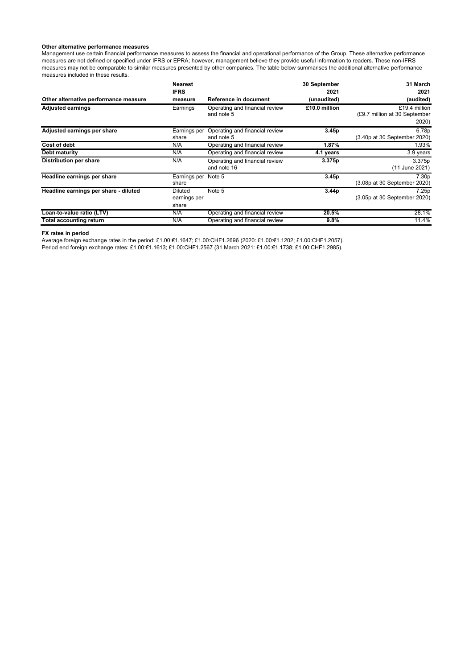## **Other alternative performance measures**

Management use certain financial performance measures to assess the financial and operational performance of the Group. These alternative performance measures are not defined or specified under IFRS or EPRA; however, management believe they provide useful information to readers. These non-IFRS measures may not be comparable to similar measures presented by other companies. The table below summarises the additional alternative performance<br>measures performance measures included in these results.

|                                       | <b>Nearest</b><br><b>IFRS</b>           |                                               | 30 September<br>2021 | 31 March<br>2021                                        |
|---------------------------------------|-----------------------------------------|-----------------------------------------------|----------------------|---------------------------------------------------------|
| Other alternative performance measure | measure                                 | Reference in document                         | (unaudited)          | (audited)                                               |
| <b>Adjusted earnings</b>              | Earnings                                | Operating and financial review<br>and note 5  | £10.0 million        | £19.4 million<br>(£9.7 million at 30 September<br>2020) |
| Adjusted earnings per share           | Earnings per<br>share                   | Operating and financial review<br>and note 5  | 3.45p                | 6.78p<br>(3.40p at 30 September 2020)                   |
| <b>Cost of debt</b>                   | N/A                                     | Operating and financial review                | 1.87%                | 1.93%                                                   |
| Debt maturity                         | N/A                                     | Operating and financial review                | 4.1 years            | 3.9 years                                               |
| <b>Distribution per share</b>         | N/A                                     | Operating and financial review<br>and note 16 | 3.375p               | 3.375p<br>(11 June 2021)                                |
| Headline earnings per share           | Earnings per Note 5<br>share            |                                               | 3.45p                | 7.30 <sub>p</sub><br>(3.08p at 30 September 2020)       |
| Headline earnings per share - diluted | <b>Diluted</b><br>earnings per<br>share | Note 5                                        | 3.44p                | 7.25p<br>(3.05p at 30 September 2020)                   |
| Loan-to-value ratio (LTV)             | N/A                                     | Operating and financial review                | 20.5%                | 28.1%                                                   |
| Total accounting return               | N/A                                     | Operating and financial review                | $9.8\%$              | 11.4%                                                   |

**FX rates in period** 

Average foreign exchange rates in the period: £1.00:€1.1647; £1.00:CHF1.2696 (2020: £1.00:€1.1202; £1.00:CHF1.2057). Period end foreign exchange rates: £1.00:€1.1613; £1.00:CHF1.2567 (31 March 2021: £1.00:€1.1738; £1.00:CHF1.2985).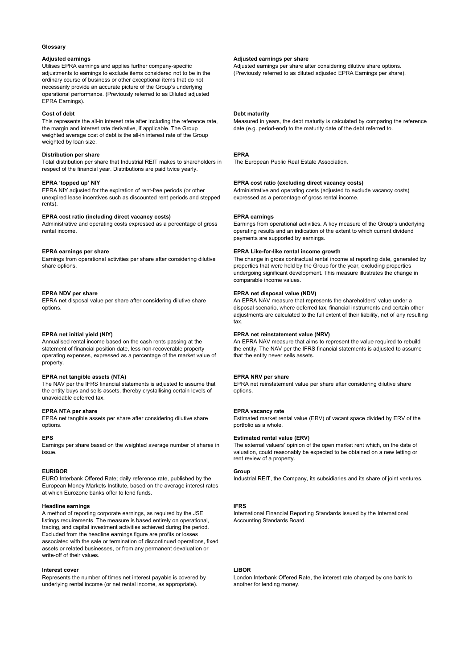### **Glossary**

Utilises EPRA earnings and applies further company-specific adjustments to earnings to exclude items considered not to be in the ordinary course of business or other exceptional items that do not necessarily provide an accurate picture of the Group's underlying operational performance. (Previously referred to as Diluted adjusted EPRA Earnings).

This represents the all-in interest rate after including the reference rate, the margin and interest rate derivative, if applicable. The Group weighted average cost of debt is the all-in interest rate of the Group weighted by loan size.

## **Distribution per share EPRA**

Total distribution per share that Industrial REIT makes to shareholders in respect of the financial year. Distributions are paid twice yearly.

EPRA NIY adjusted for the expiration of rent-free periods (or other unexpired lease incentives such as discounted rent periods and stepped rents).

## **EPRA cost ratio (including direct vacancy costs)** EPRA earnings

Administrative and operating costs expressed as a percentage of gross rental income.

Earnings from operational activities per share after considering dilutive share options.

EPRA net disposal value per share after considering dilutive share options.

Annualised rental income based on the cash rents passing at the statement of financial position date, less non-recoverable property operating expenses, expressed as a percentage of the market value of property.

## EPRA net tangible assets (NTA) **EPRA NRV** per share

The NAV per the IFRS financial statements is adjusted to assume that the entity buys and sells assets, thereby crystallising certain levels of unavoidable deferred tax.

#### **EPRA NTA per share EPRA vacancy rate ATTA START START ATTACK AND LOCAL THE EPRA vacancy rate**

EPRA net tangible assets per share after considering dilutive share options.

Earnings per share based on the weighted average number of shares in issue.

#### **EURIBOR Group**

EURO Interbank Offered Rate; daily reference rate, published by the European Money Markets Institute, based on the average interest rates at which Eurozone banks offer to lend funds.

#### **Headline earnings IFRS**

A method of reporting corporate earnings, as required by the JSE listings requirements. The measure is based entirely on operational, trading, and capital investment activities achieved during the period. Excluded from the headline earnings figure are profits or losses associated with the sale or termination of discontinued operations, fixed assets or related businesses, or from any permanent devaluation or write-off of their values.

### **Interest cover** LIBOR

Represents the number of times net interest payable is covered by underlying rental income (or net rental income, as appropriate).

## Adjusted earnings **Adjusted earnings** per share **Adjusted earnings** per share

Adjusted earnings per share after considering dilutive share options. (Previously referred to as diluted adjusted EPRA Earnings per share).

### **Cost of debt Debt maturity Debt maturity**

Measured in years, the debt maturity is calculated by comparing the reference date (e.g. period-end) to the maturity date of the debt referred to.

The European Public Real Estate Association.

### **EPRA 'topped up' NIY EPRA cost ratio (excluding direct vacancy costs)**

Administrative and operating costs (adjusted to exclude vacancy costs) expressed as a percentage of gross rental income.

Earnings from operational activities. A key measure of the Group's underlying operating results and an indication of the extent to which current dividend payments are supported by earnings.

## **EPRA earnings per share EPRA Like-for-like rental income growth**  EPRA Like-for-like rental income growth

The change in gross contractual rental income at reporting date, generated by properties that were held by the Group for the year, excluding properties undergoing significant development. This measure illustrates the change in comparable income values.

## **EPRA NDV per share EPRA net disposal value (NDV) EPRA net disposal value (NDV)**

An EPRA NAV measure that represents the shareholders' value under a disposal scenario, where deferred tax, financial instruments and certain other adjustments are calculated to the full extent of their liability, net of any resulting tax.

### **EPRA net initial yield (NIY) EPRA net reinstatement value (NRV)**

An EPRA NAV measure that aims to represent the value required to rebuild the entity. The NAV per the IFRS financial statements is adjusted to assume that the entity never sells assets.

EPRA net reinstatement value per share after considering dilutive share options.

Estimated market rental value (ERV) of vacant space divided by ERV of the portfolio as a whole.

## **EPS Estimated rental value (ERV)**

The external valuers' opinion of the open market rent which, on the date of valuation, could reasonably be expected to be obtained on a new letting or rent review of a property.

Industrial REIT, the Company, its subsidiaries and its share of joint ventures.

International Financial Reporting Standards issued by the International Accounting Standards Board.

London Interbank Offered Rate, the interest rate charged by one bank to another for lending money.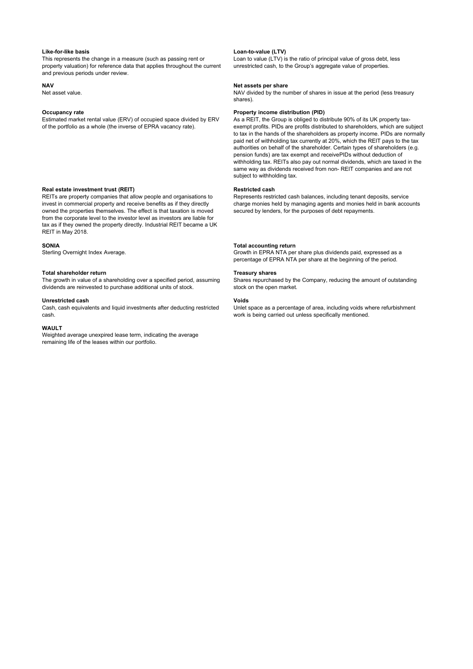This represents the change in a measure (such as passing rent or property valuation) for reference data that applies throughout the current and previous periods under review.

Estimated market rental value (ERV) of occupied space divided by ERV of the portfolio as a whole (the inverse of EPRA vacancy rate).

### **Real estate investment trust (REIT) Real estate investment trust (REIT) Restricted cash**

REITs are property companies that allow people and organisations to invest in commercial property and receive benefits as if they directly owned the properties themselves. The effect is that taxation is moved from the corporate level to the investor level as investors are liable for tax as if they owned the property directly. Industrial REIT became a UK REIT in May 2018.

**SONIA**<br>
Sterling Overnight Index Average.<br>
Sterling Overnight Index Average.<br> **Sterling Overnight Index Average.** 

#### Total shareholder return **Treasury shares Treasury shares Treasury shares Treasury shares**

The growth in value of a shareholding over a specified period, assuming dividends are reinvested to purchase additional units of stock.

#### **Unrestricted cash Voids**

Cash, cash equivalents and liquid investments after deducting restricted cash.

### **WAULT**

Weighted average unexpired lease term, indicating the average remaining life of the leases within our portfolio.

#### **Like-for-like basis Loan-to-value (LTV)**

Loan to value (LTV) is the ratio of principal value of gross debt, less unrestricted cash, to the Group's aggregate value of properties.

# **NAV NAV Net assets per share**<br>
NAV divided by the number of NAV divided by the number of NAV divided by the number

NAV divided by the number of shares in issue at the period (less treasury shares).

## **Occupancy rate Property income distribution (PID) Property income distribution (PID)**

As a REIT, the Group is obliged to distribute 90% of its UK property taxexempt profits. PIDs are profits distributed to shareholders, which are subject to tax in the hands of the shareholders as property income. PIDs are normally paid net of withholding tax currently at 20%, which the REIT pays to the tax authorities on behalf of the shareholder. Certain types of shareholders (e.g. pension funds) are tax exempt and receive PIDs without deduction of withholding tax. REITs also pay out normal dividends, which are taxed in the same way as dividends received from non- REIT companies and are not subject to withholding tax.

Represents restricted cash balances, including tenant deposits, service charge monies held by managing agents and monies held in bank accounts secured by lenders, for the purposes of debt repayments.

Growth in EPRA NTA per share plus dividends paid, expressed as a percentage of EPRA NTA per share at the beginning of the period.

Shares repurchased by the Company, reducing the amount of outstanding stock on the open market.

Unlet space as a percentage of area, including voids where refurbishment work is being carried out unless specifically mentioned.